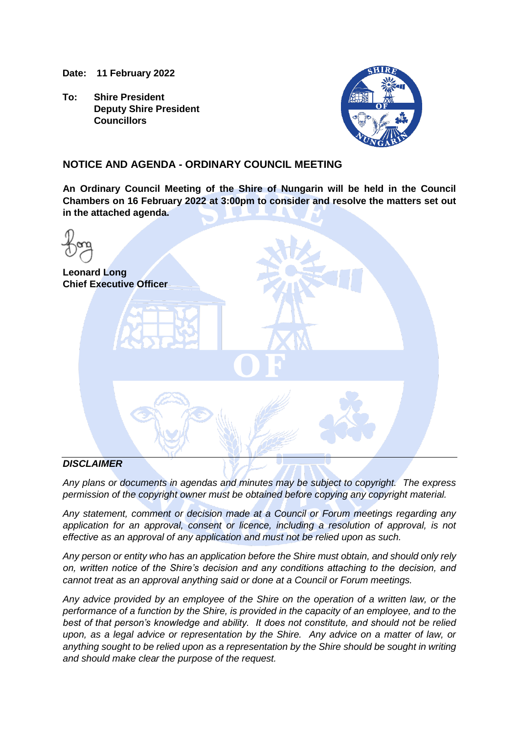**Date: 11 February 2022**

**To: Shire President Deputy Shire President Councillors**



# **NOTICE AND AGENDA - ORDINARY COUNCIL MEETING**

**An Ordinary Council Meeting of the Shire of Nungarin will be held in the Council Chambers on 16 February 2022 at 3:00pm to consider and resolve the matters set out in the attached agenda.**

| <b>Leonard Long</b><br><b>Chief Executive Officer</b> |  |
|-------------------------------------------------------|--|
| $\bullet$                                             |  |
| DICCI                                                 |  |

# *DISCLAIMER*

*Any plans or documents in agendas and minutes may be subject to copyright. The express permission of the copyright owner must be obtained before copying any copyright material.*

*Any statement, comment or decision made at a Council or Forum meetings regarding any application for an approval, consent or licence, including a resolution of approval, is not effective as an approval of any application and must not be relied upon as such.*

*Any person or entity who has an application before the Shire must obtain, and should only rely on, written notice of the Shire's decision and any conditions attaching to the decision, and cannot treat as an approval anything said or done at a Council or Forum meetings.*

*Any advice provided by an employee of the Shire on the operation of a written law, or the performance of a function by the Shire, is provided in the capacity of an employee, and to the best of that person's knowledge and ability. It does not constitute, and should not be relied upon, as a legal advice or representation by the Shire. Any advice on a matter of law, or anything sought to be relied upon as a representation by the Shire should be sought in writing and should make clear the purpose of the request.*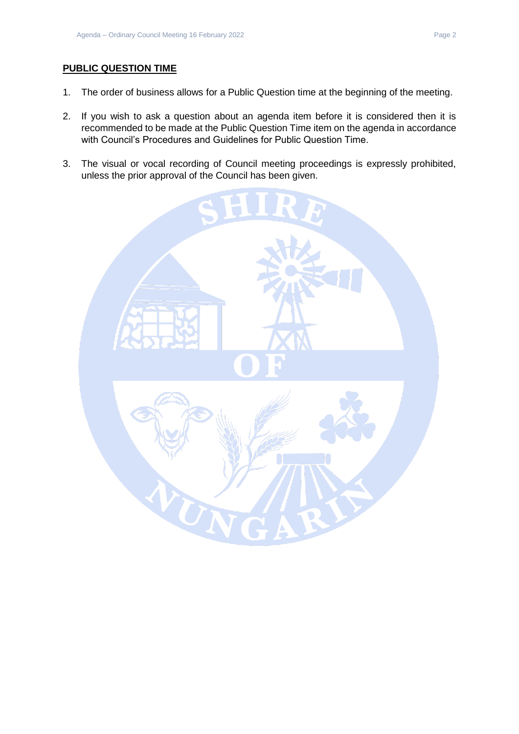# **PUBLIC QUESTION TIME**

- 1. The order of business allows for a Public Question time at the beginning of the meeting.
- 2. If you wish to ask a question about an agenda item before it is considered then it is recommended to be made at the Public Question Time item on the agenda in accordance with Council's Procedures and Guidelines for Public Question Time.
- 3. The visual or vocal recording of Council meeting proceedings is expressly prohibited, unless the prior approval of the Council has been given.

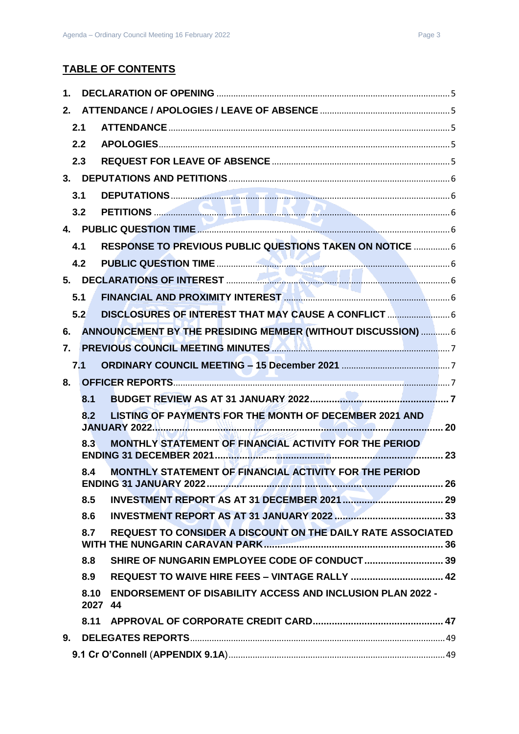# **TABLE OF CONTENTS**

| 1.      |      |                                                                              |  |
|---------|------|------------------------------------------------------------------------------|--|
| $2_{-}$ |      |                                                                              |  |
|         | 2.1  |                                                                              |  |
|         | 2.2  |                                                                              |  |
|         | 2.3  |                                                                              |  |
|         |      |                                                                              |  |
|         | 3.1  |                                                                              |  |
|         | 3.2  |                                                                              |  |
|         |      |                                                                              |  |
|         | 4.1  | RESPONSE TO PREVIOUS PUBLIC QUESTIONS TAKEN ON NOTICE  6                     |  |
|         | 4.2  |                                                                              |  |
| 5.      |      |                                                                              |  |
|         | 5.1  |                                                                              |  |
|         | 5.2  | DISCLOSURES OF INTEREST THAT MAY CAUSE A CONFLICT                            |  |
| 6.      |      | ANNOUNCEMENT BY THE PRESIDING MEMBER (WITHOUT DISCUSSION)  6                 |  |
| 7.      |      | PREVIOUS COUNCIL MEETING MINUTES <b>AND ALL ALL ALL AND ACCOUNCIL</b> 7      |  |
|         | 7.1  |                                                                              |  |
| 8.      |      |                                                                              |  |
|         | 8.1  |                                                                              |  |
|         | 8.2  | LISTING OF PAYMENTS FOR THE MONTH OF DECEMBER 2021 AND                       |  |
|         | 8.3  | MONTHLY STATEMENT OF FINANCIAL ACTIVITY FOR THE PERIOD                       |  |
|         | 8.4  | MONTHLY STATEMENT OF FINANCIAL ACTIVITY FOR THE PERIOD                       |  |
|         | 8.5  |                                                                              |  |
|         | 8.6  |                                                                              |  |
|         | 8.7  | <b>REQUEST TO CONSIDER A DISCOUNT ON THE DAILY RATE ASSOCIATED</b>           |  |
|         | 8.8  |                                                                              |  |
|         | 8.9  |                                                                              |  |
|         | 8.10 | <b>ENDORSEMENT OF DISABILITY ACCESS AND INCLUSION PLAN 2022 -</b><br>2027 44 |  |
|         |      |                                                                              |  |
|         |      |                                                                              |  |
|         |      |                                                                              |  |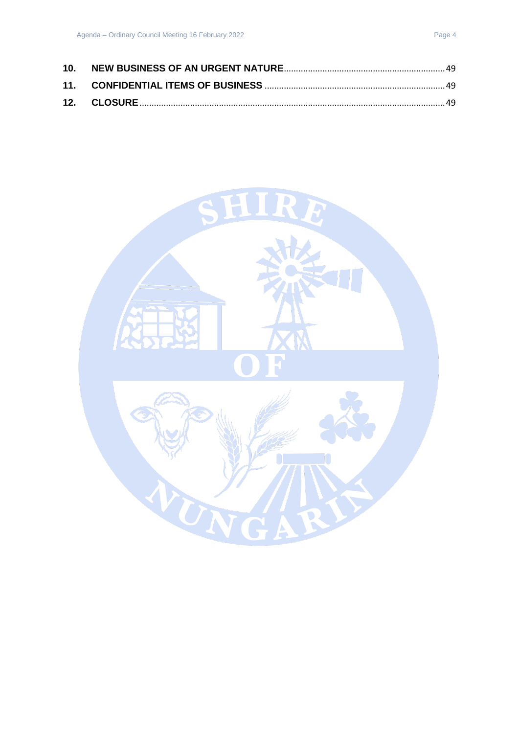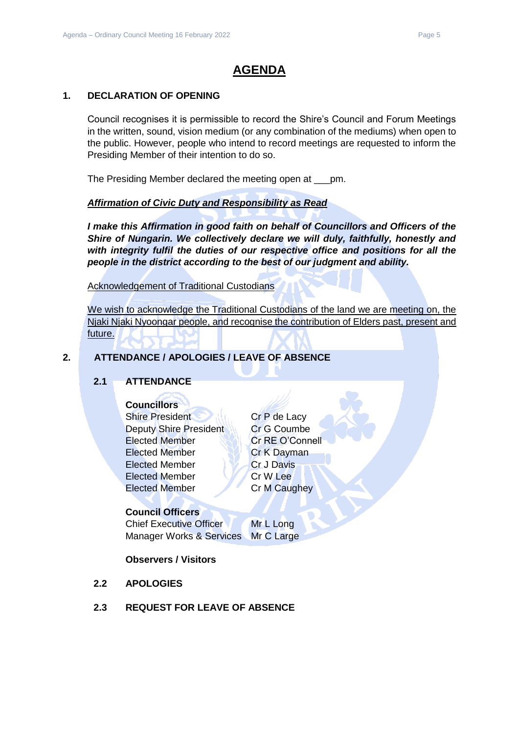# **AGENDA**

#### <span id="page-4-0"></span>**1. DECLARATION OF OPENING**

Council recognises it is permissible to record the Shire's Council and Forum Meetings in the written, sound, vision medium (or any combination of the mediums) when open to the public. However, people who intend to record meetings are requested to inform the Presiding Member of their intention to do so.

The Presiding Member declared the meeting open at \_\_\_pm.

# *Affirmation of Civic Duty and Responsibility as Read*

*I make this Affirmation in good faith on behalf of Councillors and Officers of the Shire of Nungarin. We collectively declare we will duly, faithfully, honestly and with integrity fulfil the duties of our respective office and positions for all the people in the district according to the best of our judgment and ability.*

Acknowledgement of Traditional Custodians

We wish to acknowledge the Traditional Custodians of the land we are meeting on, the Njaki Njaki Nyoongar people, and recognise the contribution of Elders past, present and future.

# <span id="page-4-2"></span><span id="page-4-1"></span>**2. ATTENDANCE / APOLOGIES / LEAVE OF ABSENCE**

# **2.1 ATTENDANCE**

# **Councillors**

Shire President Cr P de Lacy Deputy Shire President Cr G Coumbe Elected Member Cr RE O'Connell Elected Member **Cr K Dayman** Elected Member Cr J Davis Elected Member Cr W Lee Elected Member Cr M Caughey

# **Council Officers**

Chief Executive Officer Mr L Long Manager Works & Services Mr C Large

# **Observers / Visitors**

- <span id="page-4-3"></span>**2.2 APOLOGIES**
- <span id="page-4-4"></span>**2.3 REQUEST FOR LEAVE OF ABSENCE**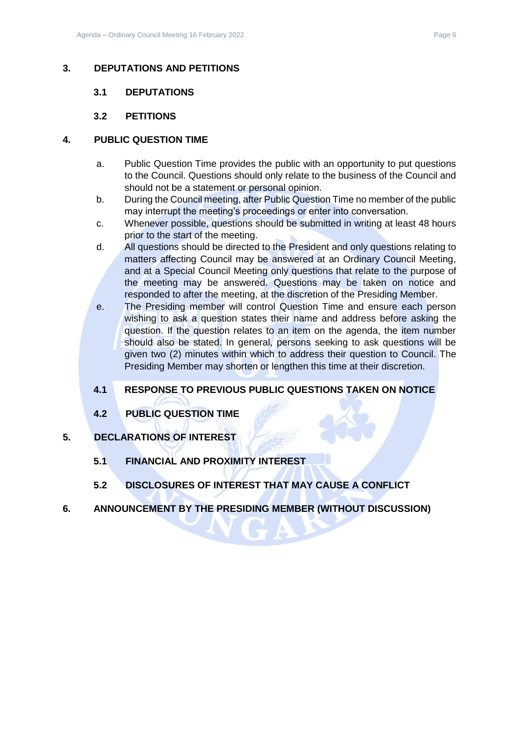# <span id="page-5-1"></span><span id="page-5-0"></span>**3. DEPUTATIONS AND PETITIONS**

# **3.1 DEPUTATIONS**

# **3.2 PETITIONS**

# <span id="page-5-3"></span><span id="page-5-2"></span>**4. PUBLIC QUESTION TIME**

- a. Public Question Time provides the public with an opportunity to put questions to the Council. Questions should only relate to the business of the Council and should not be a statement or personal opinion.
- b. During the Council meeting, after Public Question Time no member of the public may interrupt the meeting's proceedings or enter into conversation.
- c. Whenever possible, questions should be submitted in writing at least 48 hours prior to the start of the meeting.
- d. All questions should be directed to the President and only questions relating to matters affecting Council may be answered at an Ordinary Council Meeting, and at a Special Council Meeting only questions that relate to the purpose of the meeting may be answered. Questions may be taken on notice and responded to after the meeting, at the discretion of the Presiding Member.
- e. The Presiding member will control Question Time and ensure each person wishing to ask a question states their name and address before asking the question. If the question relates to an item on the agenda, the item number should also be stated. In general, persons seeking to ask questions will be given two (2) minutes within which to address their question to Council. The Presiding Member may shorten or lengthen this time at their discretion.

# <span id="page-5-4"></span>**4.1 RESPONSE TO PREVIOUS PUBLIC QUESTIONS TAKEN ON NOTICE**

**4.2 PUBLIC QUESTION TIME**

# <span id="page-5-7"></span><span id="page-5-6"></span><span id="page-5-5"></span>**5. DECLARATIONS OF INTEREST**

- **5.1 FINANCIAL AND PROXIMITY INTEREST**
- **5.2 DISCLOSURES OF INTEREST THAT MAY CAUSE A CONFLICT**
- <span id="page-5-9"></span><span id="page-5-8"></span>**6. ANNOUNCEMENT BY THE PRESIDING MEMBER (WITHOUT DISCUSSION)**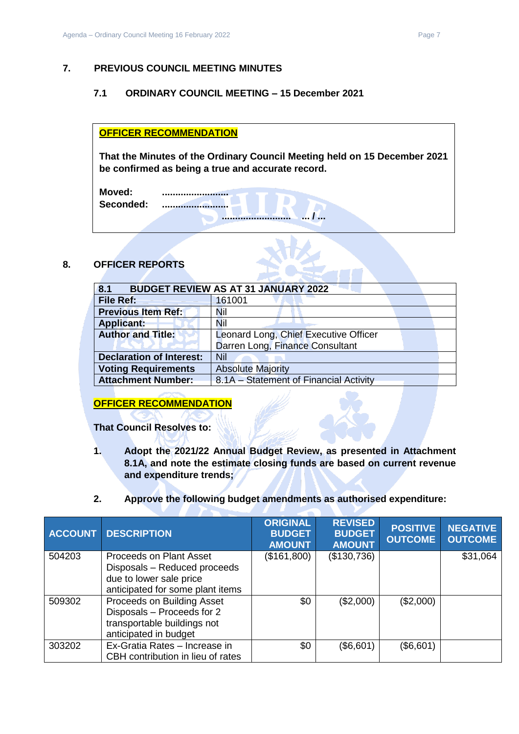# <span id="page-6-1"></span><span id="page-6-0"></span>**7. PREVIOUS COUNCIL MEETING MINUTES**

# **7.1 ORDINARY COUNCIL MEETING – 15 December 2021**

**OFFICER RECOMMENDATION** 

**That the Minutes of the Ordinary Council Meeting held on 15 December 2021 be confirmed as being a true and accurate record.**

| Moved:    |          |
|-----------|----------|
| Seconded: |          |
|           | <br><br> |

# <span id="page-6-2"></span>**8. OFFICER REPORTS**

<span id="page-6-3"></span>

| 8.1<br><b>BUDGET REVIEW AS AT 31 JANUARY 2022</b>                   |                                 |  |  |  |
|---------------------------------------------------------------------|---------------------------------|--|--|--|
| <b>File Ref:</b>                                                    | 161001                          |  |  |  |
| <b>Previous Item Ref:</b>                                           | Nil                             |  |  |  |
| <b>Applicant:</b>                                                   | Nil                             |  |  |  |
| <b>Author and Title:</b><br>Leonard Long, Chief Executive Officer   |                                 |  |  |  |
|                                                                     | Darren Long, Finance Consultant |  |  |  |
| <b>Declaration of Interest:</b>                                     | <b>Nil</b>                      |  |  |  |
| <b>Voting Requirements</b>                                          | <b>Absolute Majority</b>        |  |  |  |
| <b>Attachment Number:</b><br>8.1A – Statement of Financial Activity |                                 |  |  |  |

# **OFFICER RECOMMENDATION**

**That Council Resolves to:**

- **1. Adopt the 2021/22 Annual Budget Review, as presented in Attachment 8.1A, and note the estimate closing funds are based on current revenue and expenditure trends;**
- **2. Approve the following budget amendments as authorised expenditure:**

| <b>ACCOUNT</b> | <b>DESCRIPTION</b>                                                                                                     | <b>ORIGINAL</b><br><b>BUDGET</b><br><b>AMOUNT</b> | <b>REVISED</b><br><b>BUDGET</b><br><b>AMOUNT</b> | <b>POSITIVE</b><br><b>OUTCOME</b> | <b>NEGATIVE</b><br><b>OUTCOME</b> |
|----------------|------------------------------------------------------------------------------------------------------------------------|---------------------------------------------------|--------------------------------------------------|-----------------------------------|-----------------------------------|
| 504203         | Proceeds on Plant Asset<br>Disposals - Reduced proceeds<br>due to lower sale price<br>anticipated for some plant items | (\$161,800)                                       | (\$130,736)                                      |                                   | \$31,064                          |
| 509302         | Proceeds on Building Asset<br>Disposals - Proceeds for 2<br>transportable buildings not<br>anticipated in budget       | \$0                                               | (\$2,000)                                        | (\$2,000)                         |                                   |
| 303202         | Ex-Gratia Rates - Increase in<br>CBH contribution in lieu of rates                                                     | \$0                                               | (\$6,601)                                        | (\$6,601)                         |                                   |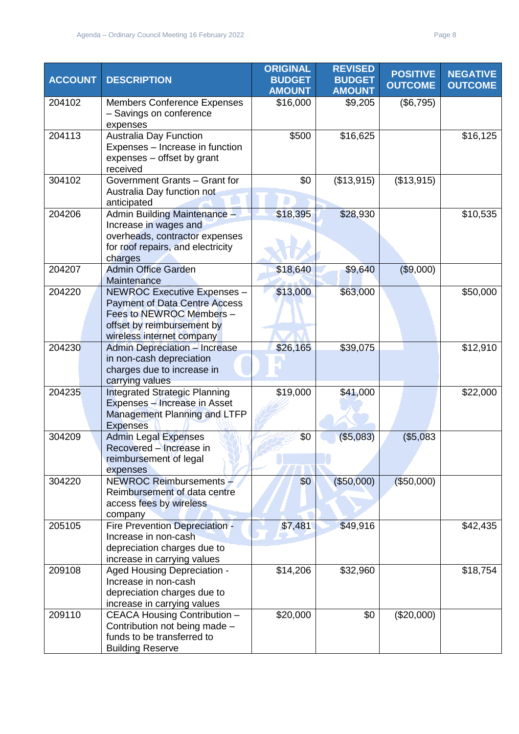| <b>ACCOUNT</b> | <b>DESCRIPTION</b>                                                                                                                                         | <b>ORIGINAL</b><br><b>BUDGET</b><br><b>AMOUNT</b> | <b>REVISED</b><br><b>BUDGET</b><br><b>AMOUNT</b> | <b>POSITIVE</b><br><b>OUTCOME</b> | <b>NEGATIVE</b><br><b>OUTCOME</b> |
|----------------|------------------------------------------------------------------------------------------------------------------------------------------------------------|---------------------------------------------------|--------------------------------------------------|-----------------------------------|-----------------------------------|
| 204102         | <b>Members Conference Expenses</b><br>- Savings on conference<br>expenses                                                                                  | \$16,000                                          | \$9,205                                          | (\$6,795)                         |                                   |
| 204113         | Australia Day Function<br>Expenses - Increase in function<br>expenses - offset by grant<br>received                                                        | \$500                                             | \$16,625                                         |                                   | \$16,125                          |
| 304102         | Government Grants - Grant for<br>Australia Day function not<br>anticipated                                                                                 | \$0                                               | (\$13,915)                                       | (\$13,915)                        |                                   |
| 204206         | Admin Building Maintenance -<br>Increase in wages and<br>overheads, contractor expenses<br>for roof repairs, and electricity<br>charges                    | \$18,395                                          | \$28,930                                         |                                   | \$10,535                          |
| 204207         | <b>Admin Office Garden</b><br>Maintenance                                                                                                                  | \$18,640                                          | \$9,640                                          | (\$9,000)                         |                                   |
| 204220         | NEWROC Executive Expenses -<br><b>Payment of Data Centre Access</b><br>Fees to NEWROC Members -<br>offset by reimbursement by<br>wireless internet company | \$13,000                                          | \$63,000                                         |                                   | \$50,000                          |
| 204230         | <b>Admin Depreciation - Increase</b><br>in non-cash depreciation<br>charges due to increase in<br>carrying values                                          | \$26,165                                          | \$39,075                                         |                                   | \$12,910                          |
| 204235         | <b>Integrated Strategic Planning</b><br>Expenses - Increase in Asset<br>Management Planning and LTFP<br><b>Expenses</b>                                    | \$19,000                                          | \$41,000                                         |                                   | \$22,000                          |
| 304209         | <b>Admin Legal Expenses</b><br>Recovered - Increase in<br>reimbursement of legal<br>expenses                                                               | \$0                                               | (\$5,083)                                        | (\$5,083                          |                                   |
| 304220         | NEWROC Reimbursements -<br>Reimbursement of data centre<br>access fees by wireless<br>company                                                              | \$0                                               | (\$50,000)                                       | (\$50,000)                        |                                   |
| 205105         | Fire Prevention Depreciation -<br>Increase in non-cash<br>depreciation charges due to<br>increase in carrying values                                       | \$7,481                                           | \$49,916                                         |                                   | \$42,435                          |
| 209108         | Aged Housing Depreciation -<br>Increase in non-cash<br>depreciation charges due to<br>increase in carrying values                                          | \$14,206                                          | \$32,960                                         |                                   | \$18,754                          |
| 209110         | CEACA Housing Contribution -<br>Contribution not being made -<br>funds to be transferred to<br><b>Building Reserve</b>                                     | \$20,000                                          | \$0                                              | (\$20,000)                        |                                   |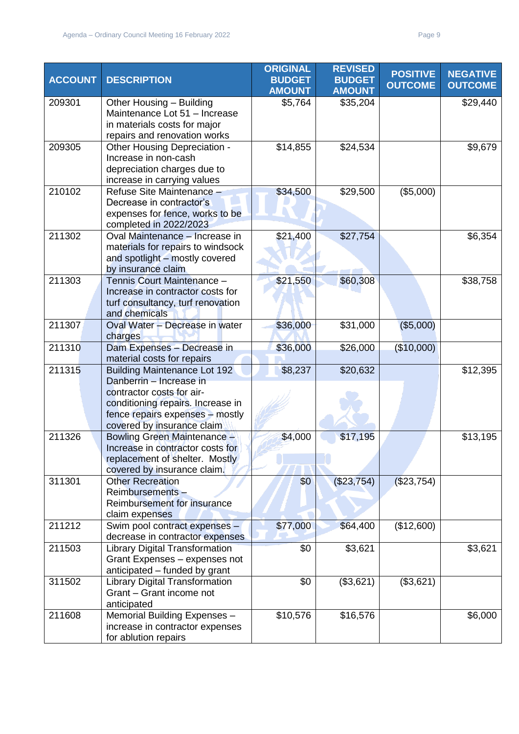| <b>ACCOUNT</b> | <b>DESCRIPTION</b>                                                                                                                                                                                | <b>ORIGINAL</b><br><b>BUDGET</b> | <b>REVISED</b><br><b>BUDGET</b> | <b>POSITIVE</b><br><b>OUTCOME</b> | <b>NEGATIVE</b><br><b>OUTCOME</b> |
|----------------|---------------------------------------------------------------------------------------------------------------------------------------------------------------------------------------------------|----------------------------------|---------------------------------|-----------------------------------|-----------------------------------|
|                |                                                                                                                                                                                                   | <b>AMOUNT</b>                    | <b>AMOUNT</b>                   |                                   |                                   |
| 209301         | Other Housing - Building<br>Maintenance Lot 51 - Increase<br>in materials costs for major<br>repairs and renovation works                                                                         | \$5,764                          | \$35,204                        |                                   | \$29,440                          |
| 209305         | Other Housing Depreciation -<br>Increase in non-cash<br>depreciation charges due to<br>increase in carrying values                                                                                | \$14,855                         | \$24,534                        |                                   | \$9,679                           |
| 210102         | Refuse Site Maintenance -<br>Decrease in contractor's<br>expenses for fence, works to be<br>completed in 2022/2023                                                                                | \$34,500                         | \$29,500                        | (\$5,000)                         |                                   |
| 211302         | Oval Maintenance - Increase in<br>materials for repairs to windsock<br>and spotlight - mostly covered<br>by insurance claim                                                                       | \$21,400                         | \$27,754                        |                                   | \$6,354                           |
| 211303         | Tennis Court Maintenance -<br>Increase in contractor costs for<br>turf consultancy, turf renovation<br>and chemicals                                                                              | \$21,550                         | \$60,308                        |                                   | \$38,758                          |
| 211307         | Oval Water - Decrease in water<br>charges                                                                                                                                                         | \$36,000                         | \$31,000                        | (\$5,000)                         |                                   |
| 211310         | Dam Expenses - Decrease in<br>material costs for repairs                                                                                                                                          | \$36,000                         | \$26,000                        | (\$10,000)                        |                                   |
| 211315         | <b>Building Maintenance Lot 192</b><br>Danberrin - Increase in<br>contractor costs for air-<br>conditioning repairs. Increase in<br>fence repairs expenses - mostly<br>covered by insurance claim | \$8,237                          | \$20,632                        |                                   | \$12,395                          |
| 211326         | Bowling Green Maintenance -<br>Increase in contractor costs for<br>replacement of shelter. Mostly<br>covered by insurance claim.                                                                  | \$4,000                          | \$17,195                        |                                   | \$13,195                          |
| 311301         | <b>Other Recreation</b><br>Reimbursements-<br>Reimbursement for insurance<br>claim expenses                                                                                                       | \$0                              | $(\$23,754)$                    | (\$23,754)                        |                                   |
| 211212         | Swim pool contract expenses -<br>decrease in contractor expenses                                                                                                                                  | \$77,000                         | \$64,400                        | (\$12,600)                        |                                   |
| 211503         | <b>Library Digital Transformation</b><br>Grant Expenses - expenses not<br>anticipated - funded by grant                                                                                           | \$0                              | \$3,621                         |                                   | \$3,621                           |
| 311502         | <b>Library Digital Transformation</b><br>Grant - Grant income not<br>anticipated                                                                                                                  | \$0                              | (\$3,621)                       | (\$3,621)                         |                                   |
| 211608         | Memorial Building Expenses -<br>increase in contractor expenses<br>for ablution repairs                                                                                                           | \$10,576                         | \$16,576                        |                                   | \$6,000                           |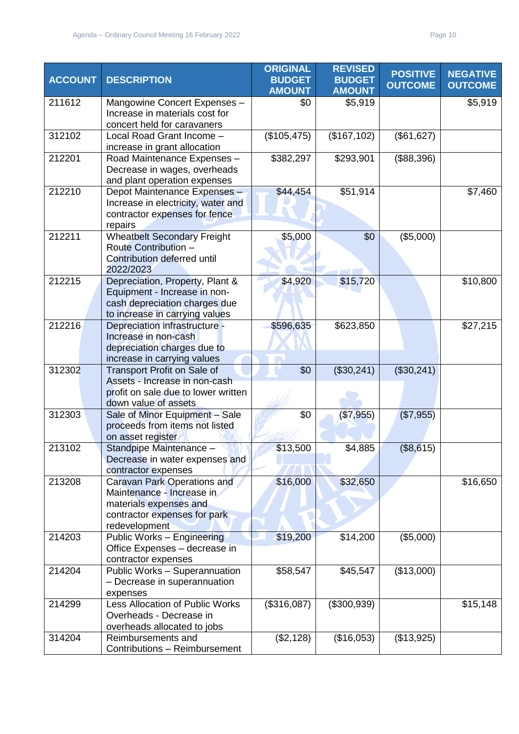| <b>ACCOUNT</b> | <b>DESCRIPTION</b>                                             | <b>ORIGINAL</b><br><b>BUDGET</b> | <b>REVISED</b><br><b>BUDGET</b> | <b>POSITIVE</b> | <b>NEGATIVE</b> |
|----------------|----------------------------------------------------------------|----------------------------------|---------------------------------|-----------------|-----------------|
|                |                                                                | <b>AMOUNT</b>                    | <b>AMOUNT</b>                   | <b>OUTCOME</b>  | <b>OUTCOME</b>  |
| 211612         | Mangowine Concert Expenses -<br>Increase in materials cost for | \$0                              | \$5,919                         |                 | \$5,919         |
|                | concert held for caravaners                                    |                                  |                                 |                 |                 |
| 312102         | Local Road Grant Income -                                      | (\$105,475)                      | (\$167, 102)                    | (\$61,627)      |                 |
|                | increase in grant allocation                                   |                                  |                                 |                 |                 |
| 212201         | Road Maintenance Expenses -                                    | \$382,297                        | \$293,901                       | (\$88,396)      |                 |
|                | Decrease in wages, overheads                                   |                                  |                                 |                 |                 |
|                | and plant operation expenses                                   |                                  |                                 |                 |                 |
| 212210         | Depot Maintenance Expenses -                                   | \$44,454                         | \$51,914                        |                 | \$7,460         |
|                | Increase in electricity, water and                             |                                  |                                 |                 |                 |
|                | contractor expenses for fence                                  |                                  |                                 |                 |                 |
|                | repairs                                                        |                                  |                                 |                 |                 |
| 212211         | <b>Wheatbelt Secondary Freight</b>                             | \$5,000                          | \$0                             | (\$5,000)       |                 |
|                | Route Contribution -                                           |                                  |                                 |                 |                 |
|                | Contribution deferred until                                    |                                  |                                 |                 |                 |
|                | 2022/2023                                                      |                                  |                                 |                 |                 |
| 212215         | Depreciation, Property, Plant &                                | \$4,920                          | \$15,720                        |                 | \$10,800        |
|                | Equipment - Increase in non-<br>cash depreciation charges due  |                                  |                                 |                 |                 |
|                | to increase in carrying values                                 |                                  |                                 |                 |                 |
| 212216         | Depreciation infrastructure -                                  | \$596,635                        | \$623,850                       |                 | \$27,215        |
|                | Increase in non-cash                                           |                                  |                                 |                 |                 |
|                | depreciation charges due to                                    |                                  |                                 |                 |                 |
|                | increase in carrying values                                    |                                  |                                 |                 |                 |
| 312302         | <b>Transport Profit on Sale of</b>                             | \$0                              | (\$30,241)                      | (\$30,241)      |                 |
|                | Assets - Increase in non-cash                                  |                                  |                                 |                 |                 |
|                | profit on sale due to lower written                            |                                  |                                 |                 |                 |
|                | down value of assets                                           |                                  |                                 |                 |                 |
| 312303         | Sale of Minor Equipment - Sale                                 | \$0                              | (\$7,955)                       | (\$7,955)       |                 |
|                | proceeds from items not listed                                 |                                  |                                 |                 |                 |
|                | on asset register                                              |                                  |                                 |                 |                 |
| 213102         | Standpipe Maintenance -                                        | \$13,500                         | \$4,885                         | (\$8,615)       |                 |
|                | Decrease in water expenses and                                 |                                  |                                 |                 |                 |
|                | contractor expenses                                            |                                  |                                 |                 |                 |
| 213208         | <b>Caravan Park Operations and</b>                             | \$16,000                         | \$32,650                        |                 | \$16,650        |
|                | Maintenance - Increase in                                      |                                  |                                 |                 |                 |
|                | materials expenses and                                         |                                  |                                 |                 |                 |
|                | contractor expenses for park<br>redevelopment                  |                                  |                                 |                 |                 |
| 214203         | Public Works - Engineering                                     | \$19,200                         | \$14,200                        | (\$5,000)       |                 |
|                | Office Expenses - decrease in                                  |                                  |                                 |                 |                 |
|                | contractor expenses                                            |                                  |                                 |                 |                 |
| 214204         | Public Works - Superannuation                                  | \$58,547                         | \$45,547                        | (\$13,000)      |                 |
|                | - Decrease in superannuation                                   |                                  |                                 |                 |                 |
|                | expenses                                                       |                                  |                                 |                 |                 |
| 214299         | Less Allocation of Public Works                                | (\$316,087)                      | (\$300,939)                     |                 | \$15,148        |
|                | Overheads - Decrease in                                        |                                  |                                 |                 |                 |
|                | overheads allocated to jobs                                    |                                  |                                 |                 |                 |
| 314204         | Reimbursements and                                             | (\$2,128)                        | (\$16,053)                      | (\$13,925)      |                 |
|                | Contributions - Reimbursement                                  |                                  |                                 |                 |                 |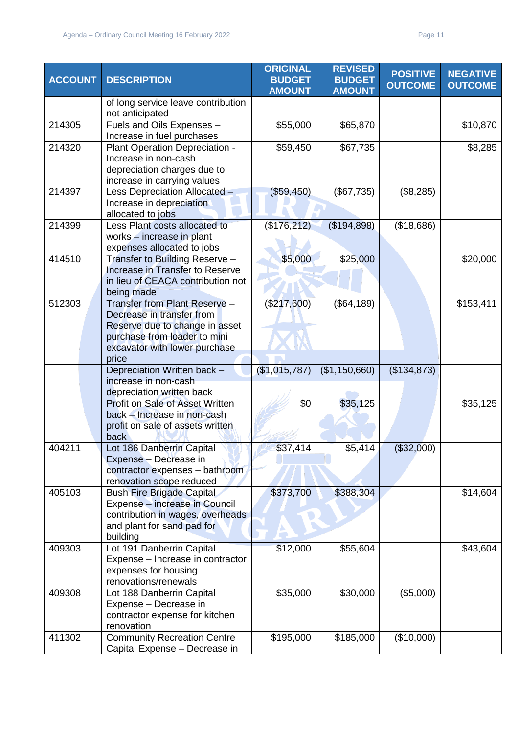| <b>ACCOUNT</b> | <b>DESCRIPTION</b>                                           | <b>ORIGINAL</b><br><b>BUDGET</b> | <b>REVISED</b><br><b>BUDGET</b> | <b>POSITIVE</b><br><b>OUTCOME</b> | <b>NEGATIVE</b><br><b>OUTCOME</b> |
|----------------|--------------------------------------------------------------|----------------------------------|---------------------------------|-----------------------------------|-----------------------------------|
|                |                                                              | <b>AMOUNT</b>                    | <b>AMOUNT</b>                   |                                   |                                   |
|                | of long service leave contribution<br>not anticipated        |                                  |                                 |                                   |                                   |
| 214305         | Fuels and Oils Expenses -<br>Increase in fuel purchases      | \$55,000                         | \$65,870                        |                                   | \$10,870                          |
| 214320         | Plant Operation Depreciation -                               | \$59,450                         | \$67,735                        |                                   | \$8,285                           |
|                | Increase in non-cash                                         |                                  |                                 |                                   |                                   |
|                | depreciation charges due to                                  |                                  |                                 |                                   |                                   |
| 214397         | increase in carrying values                                  |                                  |                                 |                                   |                                   |
|                | Less Depreciation Allocated -<br>Increase in depreciation    | (\$59,450)                       | (\$67,735)                      | (\$8,285)                         |                                   |
|                | allocated to jobs                                            |                                  |                                 |                                   |                                   |
| 214399         | Less Plant costs allocated to                                | (\$176,212)                      | (\$194,898)                     | (\$18,686)                        |                                   |
|                | works - increase in plant                                    |                                  |                                 |                                   |                                   |
|                | expenses allocated to jobs                                   |                                  |                                 |                                   |                                   |
| 414510         | Transfer to Building Reserve -                               | \$5,000                          | \$25,000                        |                                   | \$20,000                          |
|                | Increase in Transfer to Reserve                              |                                  |                                 |                                   |                                   |
|                | in lieu of CEACA contribution not                            |                                  |                                 |                                   |                                   |
| 512303         | being made<br>Transfer from Plant Reserve -                  | (\$217,600)                      | (\$64, 189)                     |                                   | \$153,411                         |
|                | Decrease in transfer from                                    |                                  |                                 |                                   |                                   |
|                | Reserve due to change in asset                               |                                  |                                 |                                   |                                   |
|                | purchase from loader to mini                                 |                                  |                                 |                                   |                                   |
|                | excavator with lower purchase                                |                                  |                                 |                                   |                                   |
|                | price                                                        |                                  |                                 |                                   |                                   |
|                | Depreciation Written back -<br>increase in non-cash          | (\$1,015,787)                    | (\$1,150,660)                   | (\$134,873)                       |                                   |
|                | depreciation written back                                    |                                  |                                 |                                   |                                   |
|                | <b>Profit on Sale of Asset Written</b>                       | \$0                              | \$35,125                        |                                   | \$35,125                          |
|                | back - Increase in non-cash                                  |                                  |                                 |                                   |                                   |
|                | profit on sale of assets written                             |                                  |                                 |                                   |                                   |
|                | back                                                         |                                  |                                 |                                   |                                   |
| 404211         | Lot 186 Danberrin Capital                                    | \$37,414                         | \$5,414                         | (\$32,000)                        |                                   |
|                | Expense - Decrease in                                        |                                  |                                 |                                   |                                   |
|                | contractor expenses - bathroom                               |                                  |                                 |                                   |                                   |
| 405103         | renovation scope reduced<br><b>Bush Fire Brigade Capital</b> | \$373,700                        | \$388,304                       |                                   | \$14,604                          |
|                | Expense - increase in Council                                |                                  |                                 |                                   |                                   |
|                | contribution in wages, overheads                             |                                  |                                 |                                   |                                   |
|                | and plant for sand pad for                                   |                                  |                                 |                                   |                                   |
|                | building                                                     |                                  |                                 |                                   |                                   |
| 409303         | Lot 191 Danberrin Capital                                    | \$12,000                         | \$55,604                        |                                   | \$43,604                          |
|                | Expense - Increase in contractor                             |                                  |                                 |                                   |                                   |
|                | expenses for housing                                         |                                  |                                 |                                   |                                   |
| 409308         | renovations/renewals<br>Lot 188 Danberrin Capital            | \$35,000                         | \$30,000                        | (\$5,000)                         |                                   |
|                | Expense - Decrease in                                        |                                  |                                 |                                   |                                   |
|                | contractor expense for kitchen                               |                                  |                                 |                                   |                                   |
|                | renovation                                                   |                                  |                                 |                                   |                                   |
| 411302         | <b>Community Recreation Centre</b>                           | \$195,000                        | \$185,000                       | (\$10,000)                        |                                   |
|                | Capital Expense - Decrease in                                |                                  |                                 |                                   |                                   |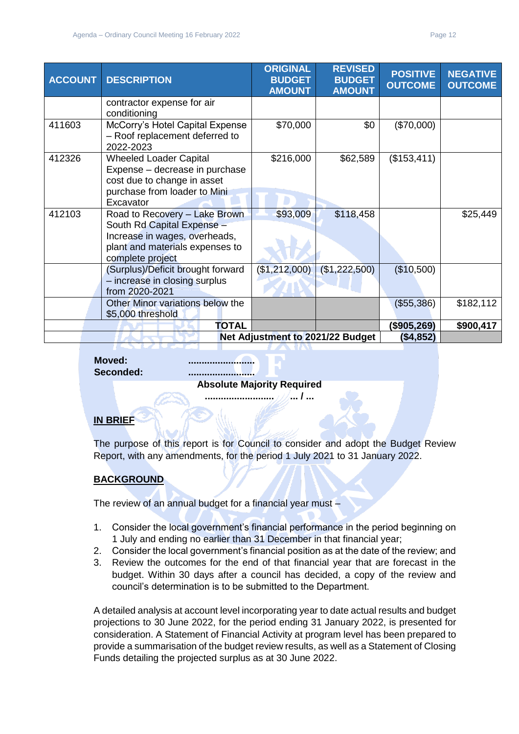| <b>ACCOUNT</b> | <b>DESCRIPTION</b>                                                                                                                                  | <b>ORIGINAL</b><br><b>BUDGET</b><br><b>AMOUNT</b> | <b>REVISED</b><br><b>BUDGET</b><br><b>AMOUNT</b> | <b>POSITIVE</b><br><b>OUTCOME</b> | <b>NEGATIVE</b><br><b>OUTCOME</b> |
|----------------|-----------------------------------------------------------------------------------------------------------------------------------------------------|---------------------------------------------------|--------------------------------------------------|-----------------------------------|-----------------------------------|
|                | contractor expense for air<br>conditioning                                                                                                          |                                                   |                                                  |                                   |                                   |
| 411603         | McCorry's Hotel Capital Expense<br>- Roof replacement deferred to<br>2022-2023                                                                      | \$70,000                                          | \$0                                              | (\$70,000)                        |                                   |
| 412326         | <b>Wheeled Loader Capital</b><br>Expense - decrease in purchase<br>cost due to change in asset<br>purchase from loader to Mini<br>Excavator         | \$216,000                                         | \$62,589                                         | (\$153,411)                       |                                   |
| 412103         | Road to Recovery - Lake Brown<br>South Rd Capital Expense -<br>Increase in wages, overheads,<br>plant and materials expenses to<br>complete project | \$93,009                                          | \$118,458                                        |                                   | \$25,449                          |
|                | (Surplus)/Deficit brought forward<br>- increase in closing surplus<br>from 2020-2021                                                                | (\$1,212,000)                                     | (\$1,222,500)                                    | (\$10,500)                        |                                   |
|                | Other Minor variations below the<br>\$5,000 threshold                                                                                               |                                                   |                                                  | (\$55,386)                        | \$182,112                         |
|                | <b>TOTAL</b>                                                                                                                                        |                                                   |                                                  | (\$905,269)                       | \$900,417                         |
|                | Net Adjustment to 2021/22 Budget                                                                                                                    | (\$4,852)                                         |                                                  |                                   |                                   |

**Moved: .........................**

**Seconded: .........................**

# **Absolute Majority Required**

**.......................... ... / ...** 

# **IN BRIEF**

The purpose of this report is for Council to consider and adopt the Budget Review Report, with any amendments, for the period 1 July 2021 to 31 January 2022.

# **BACKGROUND**

The review of an annual budget for a financial year must –

- 1. Consider the local government's financial performance in the period beginning on 1 July and ending no earlier than 31 December in that financial year;
- 2. Consider the local government's financial position as at the date of the review; and
- 3. Review the outcomes for the end of that financial year that are forecast in the budget. Within 30 days after a council has decided, a copy of the review and council's determination is to be submitted to the Department.

A detailed analysis at account level incorporating year to date actual results and budget projections to 30 June 2022, for the period ending 31 January 2022, is presented for consideration. A Statement of Financial Activity at program level has been prepared to provide a summarisation of the budget review results, as well as a Statement of Closing Funds detailing the projected surplus as at 30 June 2022.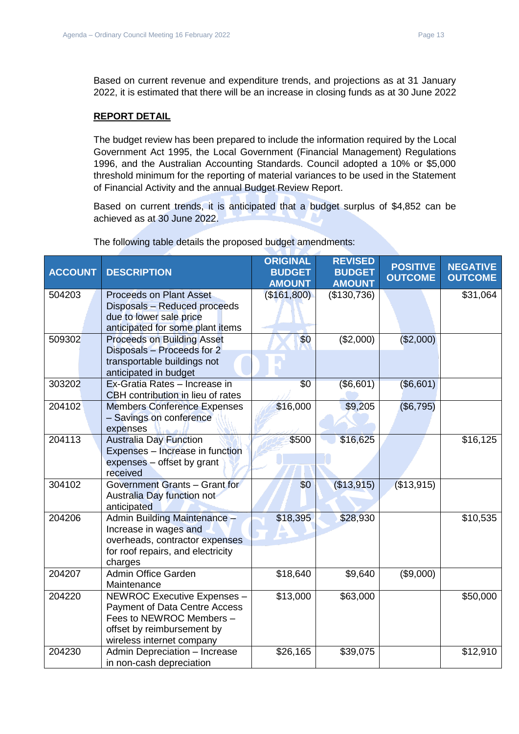Based on current revenue and expenditure trends, and projections as at 31 January 2022, it is estimated that there will be an increase in closing funds as at 30 June 2022

#### **REPORT DETAIL**

The budget review has been prepared to include the information required by the Local Government Act 1995, the Local Government (Financial Management) Regulations 1996, and the Australian Accounting Standards. Council adopted a 10% or \$5,000 threshold minimum for the reporting of material variances to be used in the Statement of Financial Activity and the annual Budget Review Report.

Based on current trends, it is anticipated that a budget surplus of \$4,852 can be achieved as at 30 June 2022.

| <b>ACCOUNT</b> | <b>DESCRIPTION</b>                                                                                                                                  | <b>ORIGINAL</b><br><b>BUDGET</b><br><b>AMOUNT</b> | <b>REVISED</b><br><b>BUDGET</b><br><b>AMOUNT</b> | <b>POSITIVE</b><br><b>OUTCOME</b> | <b>NEGATIVE</b><br><b>OUTCOME</b> |
|----------------|-----------------------------------------------------------------------------------------------------------------------------------------------------|---------------------------------------------------|--------------------------------------------------|-----------------------------------|-----------------------------------|
| 504203         | <b>Proceeds on Plant Asset</b><br>Disposals - Reduced proceeds<br>due to lower sale price<br>anticipated for some plant items                       | (\$161,800)                                       | (\$130,736)                                      |                                   | \$31,064                          |
| 509302         | <b>Proceeds on Building Asset</b><br>Disposals - Proceeds for 2<br>transportable buildings not<br>anticipated in budget                             | \$0                                               | (\$2,000)                                        | (\$2,000)                         |                                   |
| 303202         | Ex-Gratia Rates - Increase in<br>CBH contribution in lieu of rates                                                                                  | \$0                                               | (\$6,601)                                        | (\$6,601)                         |                                   |
| 204102         | <b>Members Conference Expenses</b><br>- Savings on conference<br>expenses                                                                           | \$16,000                                          | \$9,205                                          | (\$6,795)                         |                                   |
| 204113         | <b>Australia Day Function</b><br>Expenses - Increase in function<br>expenses - offset by grant<br>received                                          | \$500                                             | \$16,625                                         |                                   | \$16, 125                         |
| 304102         | Government Grants - Grant for<br>Australia Day function not<br>anticipated                                                                          | \$0                                               | (\$13,915)                                       | (\$13,915)                        |                                   |
| 204206         | Admin Building Maintenance -<br>Increase in wages and<br>overheads, contractor expenses<br>for roof repairs, and electricity<br>charges             | \$18,395                                          | \$28,930                                         |                                   | \$10,535                          |
| 204207         | Admin Office Garden<br>Maintenance                                                                                                                  | \$18,640                                          | \$9,640                                          | (\$9,000)                         |                                   |
| 204220         | NEWROC Executive Expenses -<br>Payment of Data Centre Access<br>Fees to NEWROC Members -<br>offset by reimbursement by<br>wireless internet company | \$13,000                                          | \$63,000                                         |                                   | \$50,000                          |
| 204230         | Admin Depreciation - Increase<br>in non-cash depreciation                                                                                           | \$26,165                                          | \$39,075                                         |                                   | \$12,910                          |

The following table details the proposed budget amendments: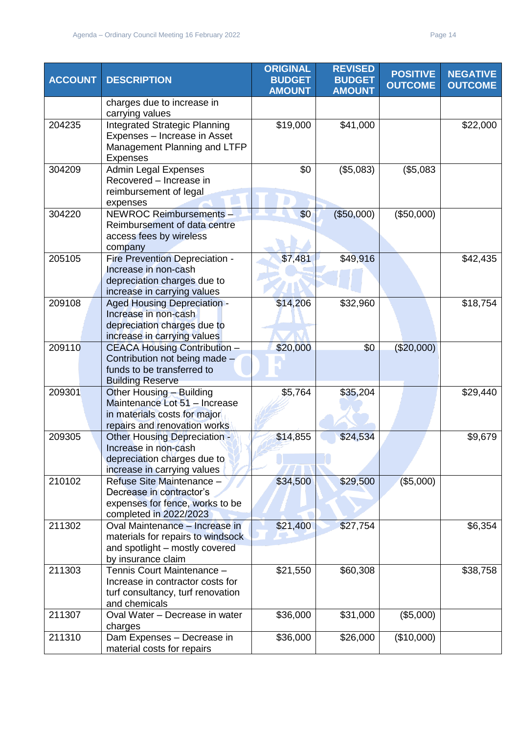| <b>ACCOUNT</b> | <b>DESCRIPTION</b>                                                                                                            | <b>ORIGINAL</b><br><b>BUDGET</b><br><b>AMOUNT</b> | <b>REVISED</b><br><b>BUDGET</b><br><b>AMOUNT</b> | <b>POSITIVE</b><br><b>OUTCOME</b> | <b>NEGATIVE</b><br><b>OUTCOME</b> |
|----------------|-------------------------------------------------------------------------------------------------------------------------------|---------------------------------------------------|--------------------------------------------------|-----------------------------------|-----------------------------------|
|                | charges due to increase in<br>carrying values                                                                                 |                                                   |                                                  |                                   |                                   |
| 204235         | <b>Integrated Strategic Planning</b><br>Expenses - Increase in Asset<br>Management Planning and LTFP<br><b>Expenses</b>       | \$19,000                                          | \$41,000                                         |                                   | \$22,000                          |
| 304209         | <b>Admin Legal Expenses</b><br>Recovered - Increase in<br>reimbursement of legal<br>expenses                                  | \$0                                               | (\$5,083)                                        | (\$5,083                          |                                   |
| 304220         | NEWROC Reimbursements -<br>Reimbursement of data centre<br>access fees by wireless<br>company                                 | \$0                                               | (\$50,000)                                       | (\$50,000)                        |                                   |
| 205105         | Fire Prevention Depreciation -<br>Increase in non-cash<br>depreciation charges due to<br>increase in carrying values          | \$7,481                                           | \$49,916                                         |                                   | \$42,435                          |
| 209108         | <b>Aged Housing Depreciation -</b><br>Increase in non-cash<br>depreciation charges due to<br>increase in carrying values      | \$14,206                                          | \$32,960                                         |                                   | \$18,754                          |
| 209110         | <b>CEACA Housing Contribution -</b><br>Contribution not being made -<br>funds to be transferred to<br><b>Building Reserve</b> | \$20,000                                          | \$0                                              | $(\$20,000)$                      |                                   |
| 209301         | Other Housing - Building<br>Maintenance Lot 51 - Increase<br>in materials costs for major<br>repairs and renovation works     | \$5,764                                           | \$35,204                                         |                                   | \$29,440                          |
| 209305         | <b>Other Housing Depreciation -</b><br>Increase in non-cash<br>depreciation charges due to<br>increase in carrying values     | \$14,855                                          | \$24,534                                         |                                   | \$9,679                           |
| 210102         | Refuse Site Maintenance -<br>Decrease in contractor's<br>expenses for fence, works to be<br>completed in 2022/2023            | \$34,500                                          | \$29,500                                         | (\$5,000)                         |                                   |
| 211302         | Oval Maintenance - Increase in<br>materials for repairs to windsock<br>and spotlight - mostly covered<br>by insurance claim   | \$21,400                                          | \$27,754                                         |                                   | \$6,354                           |
| 211303         | Tennis Court Maintenance -<br>Increase in contractor costs for<br>turf consultancy, turf renovation<br>and chemicals          | \$21,550                                          | \$60,308                                         |                                   | \$38,758                          |
| 211307         | Oval Water - Decrease in water<br>charges                                                                                     | \$36,000                                          | \$31,000                                         | (\$5,000)                         |                                   |
| 211310         | Dam Expenses - Decrease in<br>material costs for repairs                                                                      | \$36,000                                          | \$26,000                                         | (\$10,000)                        |                                   |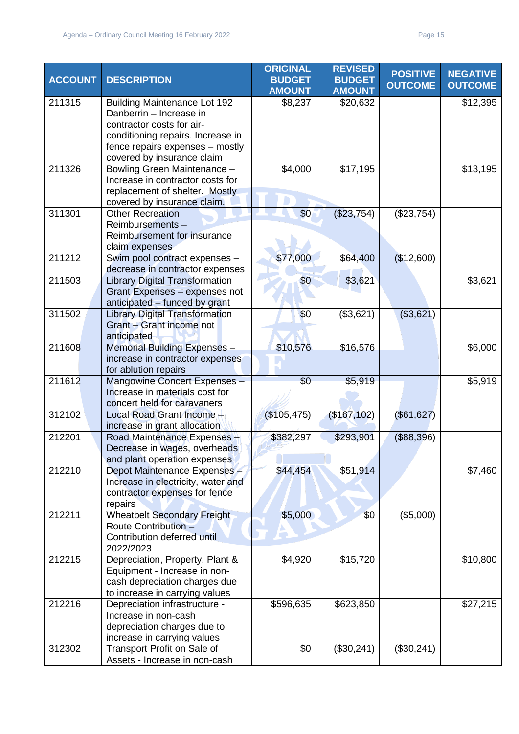| <b>ACCOUNT</b> | <b>DESCRIPTION</b>                                                | <b>ORIGINAL</b><br><b>BUDGET</b> | <b>REVISED</b><br><b>BUDGET</b> | <b>POSITIVE</b><br><b>OUTCOME</b> | <b>NEGATIVE</b><br><b>OUTCOME</b> |
|----------------|-------------------------------------------------------------------|----------------------------------|---------------------------------|-----------------------------------|-----------------------------------|
|                |                                                                   | <b>AMOUNT</b>                    | <b>AMOUNT</b>                   |                                   |                                   |
| 211315         | <b>Building Maintenance Lot 192</b><br>Danberrin - Increase in    | \$8,237                          | \$20,632                        |                                   | \$12,395                          |
|                | contractor costs for air-                                         |                                  |                                 |                                   |                                   |
|                | conditioning repairs. Increase in                                 |                                  |                                 |                                   |                                   |
|                | fence repairs expenses - mostly                                   |                                  |                                 |                                   |                                   |
|                | covered by insurance claim                                        |                                  |                                 |                                   |                                   |
| 211326         | Bowling Green Maintenance -                                       | \$4,000                          | \$17,195                        |                                   | \$13,195                          |
|                | Increase in contractor costs for                                  |                                  |                                 |                                   |                                   |
|                | replacement of shelter. Mostly                                    |                                  |                                 |                                   |                                   |
|                | covered by insurance claim.                                       |                                  |                                 |                                   |                                   |
| 311301         | <b>Other Recreation</b>                                           | \$0                              | (\$23,754)                      | (\$23,754)                        |                                   |
|                | Reimbursements-                                                   |                                  |                                 |                                   |                                   |
|                | Reimbursement for insurance                                       |                                  |                                 |                                   |                                   |
|                | claim expenses                                                    |                                  |                                 |                                   |                                   |
| 211212         | Swim pool contract expenses -                                     | \$77,000                         | \$64,400                        | (\$12,600)                        |                                   |
|                | decrease in contractor expenses                                   |                                  |                                 |                                   |                                   |
| 211503         | <b>Library Digital Transformation</b>                             | \$0                              | \$3,621                         |                                   | \$3,621                           |
|                | Grant Expenses - expenses not                                     |                                  |                                 |                                   |                                   |
|                | anticipated - funded by grant                                     |                                  |                                 |                                   |                                   |
| 311502         | <b>Library Digital Transformation</b><br>Grant - Grant income not | \$0                              | (\$3,621)                       | (\$3,621)                         |                                   |
|                |                                                                   |                                  |                                 |                                   |                                   |
| 211608         | anticipated<br>Memorial Building Expenses -                       | \$10,576                         | \$16,576                        |                                   | \$6,000                           |
|                | increase in contractor expenses                                   |                                  |                                 |                                   |                                   |
|                | for ablution repairs                                              |                                  |                                 |                                   |                                   |
| 211612         | Mangowine Concert Expenses -                                      | \$0                              | \$5,919                         |                                   | \$5,919                           |
|                | Increase in materials cost for                                    |                                  |                                 |                                   |                                   |
|                | concert held for caravaners                                       |                                  |                                 |                                   |                                   |
| 312102         | Local Road Grant Income -                                         | (\$105,475)                      | (\$167, 102)                    | (\$61,627)                        |                                   |
|                | increase in grant allocation                                      |                                  |                                 |                                   |                                   |
| 212201         | Road Maintenance Expenses -                                       | \$382,297                        | \$293,901                       | (\$88,396)                        |                                   |
|                | Decrease in wages, overheads                                      |                                  |                                 |                                   |                                   |
|                | and plant operation expenses                                      |                                  |                                 |                                   |                                   |
| 212210         | Depot Maintenance Expenses -                                      | \$44,454                         | \$51,914                        |                                   | \$7,460                           |
|                | Increase in electricity, water and                                |                                  |                                 |                                   |                                   |
|                | contractor expenses for fence                                     |                                  |                                 |                                   |                                   |
|                | repairs                                                           |                                  |                                 |                                   |                                   |
| 212211         | <b>Wheatbelt Secondary Freight</b><br>Route Contribution -        | \$5,000                          | \$0                             | (\$5,000)                         |                                   |
|                | Contribution deferred until                                       |                                  |                                 |                                   |                                   |
|                | 2022/2023                                                         |                                  |                                 |                                   |                                   |
| 212215         | Depreciation, Property, Plant &                                   | \$4,920                          | \$15,720                        |                                   | \$10,800                          |
|                | Equipment - Increase in non-                                      |                                  |                                 |                                   |                                   |
|                | cash depreciation charges due                                     |                                  |                                 |                                   |                                   |
|                | to increase in carrying values                                    |                                  |                                 |                                   |                                   |
| 212216         | Depreciation infrastructure -                                     | \$596,635                        | \$623,850                       |                                   | \$27,215                          |
|                | Increase in non-cash                                              |                                  |                                 |                                   |                                   |
|                | depreciation charges due to                                       |                                  |                                 |                                   |                                   |
|                | increase in carrying values                                       |                                  |                                 |                                   |                                   |
| 312302         | Transport Profit on Sale of                                       | \$0                              | (\$30,241)                      | (\$30,241)                        |                                   |
|                | Assets - Increase in non-cash                                     |                                  |                                 |                                   |                                   |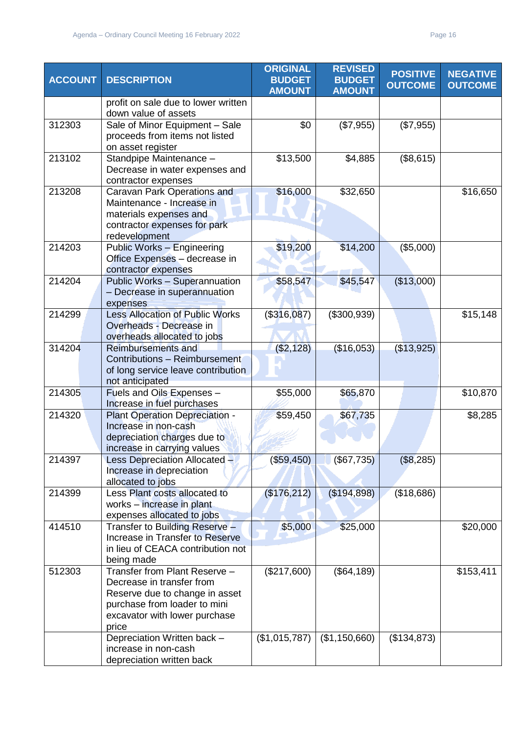| <b>ACCOUNT</b> | <b>DESCRIPTION</b>                                                                                                                                                     | <b>ORIGINAL</b><br><b>BUDGET</b><br><b>AMOUNT</b> | <b>REVISED</b><br><b>BUDGET</b><br><b>AMOUNT</b> | <b>POSITIVE</b><br><b>OUTCOME</b> | <b>NEGATIVE</b><br><b>OUTCOME</b> |
|----------------|------------------------------------------------------------------------------------------------------------------------------------------------------------------------|---------------------------------------------------|--------------------------------------------------|-----------------------------------|-----------------------------------|
|                | profit on sale due to lower written<br>down value of assets                                                                                                            |                                                   |                                                  |                                   |                                   |
| 312303         | Sale of Minor Equipment - Sale<br>proceeds from items not listed<br>on asset register                                                                                  | \$0                                               | (\$7,955)                                        | (\$7,955)                         |                                   |
| 213102         | Standpipe Maintenance -<br>Decrease in water expenses and<br>contractor expenses                                                                                       | \$13,500                                          | \$4,885                                          | (\$8,615)                         |                                   |
| 213208         | Caravan Park Operations and<br>Maintenance - Increase in<br>materials expenses and<br>contractor expenses for park<br>redevelopment                                    | \$16,000                                          | \$32,650                                         |                                   | \$16,650                          |
| 214203         | Public Works - Engineering<br>Office Expenses - decrease in<br>contractor expenses                                                                                     | \$19,200                                          | \$14,200                                         | (\$5,000)                         |                                   |
| 214204         | <b>Public Works - Superannuation</b><br>- Decrease in superannuation<br>expenses                                                                                       | \$58,547                                          | \$45,547                                         | (\$13,000)                        |                                   |
| 214299         | <b>Less Allocation of Public Works</b><br>Overheads - Decrease in<br>overheads allocated to jobs                                                                       | (\$316,087)                                       | (\$300,939)                                      |                                   | \$15,148                          |
| 314204         | <b>Reimbursements and</b><br>Contributions - Reimbursement<br>of long service leave contribution<br>not anticipated                                                    | (\$2,128)                                         | (\$16,053)                                       | (\$13,925)                        |                                   |
| 214305         | Fuels and Oils Expenses -<br>Increase in fuel purchases                                                                                                                | \$55,000                                          | \$65,870                                         |                                   | \$10,870                          |
| 214320         | <b>Plant Operation Depreciation -</b><br>Increase in non-cash<br>depreciation charges due to<br>increase in carrying values                                            | \$59,450                                          | \$67,735                                         |                                   | \$8,285                           |
| 214397         | Less Depreciation Allocated -<br>Increase in depreciation<br>allocated to jobs                                                                                         | (\$59,450)                                        | (\$67,735)                                       | (\$8,285)                         |                                   |
| 214399         | Less Plant costs allocated to<br>works - increase in plant<br>expenses allocated to jobs                                                                               | (\$176,212)                                       | (\$194,898)                                      | (\$18,686)                        |                                   |
| 414510         | Transfer to Building Reserve -<br>Increase in Transfer to Reserve<br>in lieu of CEACA contribution not<br>being made                                                   | \$5,000                                           | \$25,000                                         |                                   | \$20,000                          |
| 512303         | Transfer from Plant Reserve -<br>Decrease in transfer from<br>Reserve due to change in asset<br>purchase from loader to mini<br>excavator with lower purchase<br>price | (\$217,600)                                       | (\$64, 189)                                      |                                   | \$153,411                         |
|                | Depreciation Written back -<br>increase in non-cash<br>depreciation written back                                                                                       | (\$1,015,787)                                     | (\$1,150,660)                                    | (\$134,873)                       |                                   |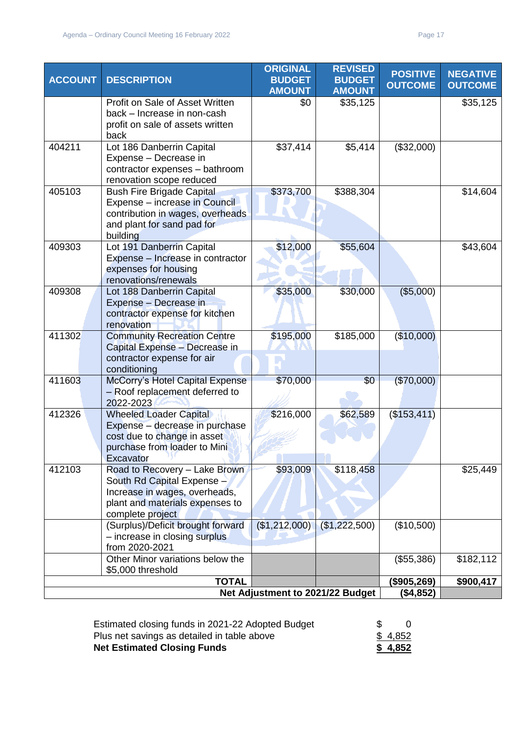|                                  |                                                                   | <b>ORIGINAL</b>                | <b>REVISED</b>                 | <b>POSITIVE</b> | <b>NEGATIVE</b> |
|----------------------------------|-------------------------------------------------------------------|--------------------------------|--------------------------------|-----------------|-----------------|
| <b>ACCOUNT</b>                   | <b>DESCRIPTION</b>                                                | <b>BUDGET</b><br><b>AMOUNT</b> | <b>BUDGET</b><br><b>AMOUNT</b> | <b>OUTCOME</b>  | <b>OUTCOME</b>  |
|                                  | Profit on Sale of Asset Written                                   | \$0                            | \$35,125                       |                 | \$35,125        |
|                                  | back - Increase in non-cash                                       |                                |                                |                 |                 |
|                                  | profit on sale of assets written<br>back                          |                                |                                |                 |                 |
| 404211                           | Lot 186 Danberrin Capital                                         | \$37,414                       | \$5,414                        | (\$32,000)      |                 |
|                                  | Expense - Decrease in                                             |                                |                                |                 |                 |
|                                  | contractor expenses - bathroom                                    |                                |                                |                 |                 |
|                                  | renovation scope reduced                                          |                                |                                |                 |                 |
| 405103                           | <b>Bush Fire Brigade Capital</b><br>Expense - increase in Council | \$373,700                      | \$388,304                      |                 | \$14,604        |
|                                  | contribution in wages, overheads                                  |                                |                                |                 |                 |
|                                  | and plant for sand pad for                                        |                                |                                |                 |                 |
|                                  | building                                                          |                                |                                |                 |                 |
| 409303                           | Lot 191 Danberrin Capital                                         | \$12,000                       | \$55,604                       |                 | \$43,604        |
|                                  | Expense - Increase in contractor                                  |                                |                                |                 |                 |
|                                  | expenses for housing<br>renovations/renewals                      |                                |                                |                 |                 |
| 409308                           | Lot 188 Danberrin Capital                                         | \$35,000                       | \$30,000                       | (\$5,000)       |                 |
|                                  | Expense - Decrease in                                             |                                |                                |                 |                 |
|                                  | contractor expense for kitchen                                    |                                |                                |                 |                 |
|                                  | renovation                                                        |                                |                                |                 |                 |
| 411302                           | <b>Community Recreation Centre</b>                                | \$195,000                      | \$185,000                      | (\$10,000)      |                 |
|                                  | Capital Expense - Decrease in<br>contractor expense for air       |                                |                                |                 |                 |
|                                  | conditioning                                                      |                                |                                |                 |                 |
| 411603                           | McCorry's Hotel Capital Expense                                   | \$70,000                       | \$0                            | (\$70,000)      |                 |
|                                  | - Roof replacement deferred to                                    |                                |                                |                 |                 |
| 412326                           | 2022-2023<br><b>Wheeled Loader Capital</b>                        | \$216,000                      |                                |                 |                 |
|                                  | Expense - decrease in purchase                                    |                                | \$62,589                       | (\$153,411)     |                 |
|                                  | cost due to change in asset                                       |                                |                                |                 |                 |
|                                  | purchase from loader to Mini                                      |                                |                                |                 |                 |
|                                  | Excavator                                                         |                                |                                |                 |                 |
| 412103                           | Road to Recovery - Lake Brown                                     | \$93,009                       | \$118,458                      |                 | \$25,449        |
|                                  | South Rd Capital Expense -<br>Increase in wages, overheads,       |                                |                                |                 |                 |
|                                  | plant and materials expenses to                                   |                                |                                |                 |                 |
|                                  | complete project                                                  |                                |                                |                 |                 |
|                                  | (Surplus)/Deficit brought forward                                 | (\$1,212,000)                  | (\$1,222,500)                  | (\$10,500)      |                 |
|                                  | - increase in closing surplus                                     |                                |                                |                 |                 |
|                                  | from 2020-2021                                                    |                                |                                |                 |                 |
|                                  | Other Minor variations below the<br>\$5,000 threshold             |                                |                                | (\$55,386)      | \$182,112       |
|                                  | <b>TOTAL</b>                                                      |                                |                                | (\$905,269)     | \$900,417       |
| Net Adjustment to 2021/22 Budget |                                                                   |                                |                                |                 |                 |

| Estimated closing funds in 2021-22 Adopted Budget |         |
|---------------------------------------------------|---------|
| Plus net savings as detailed in table above       | \$4,852 |
| <b>Net Estimated Closing Funds</b>                | \$4,852 |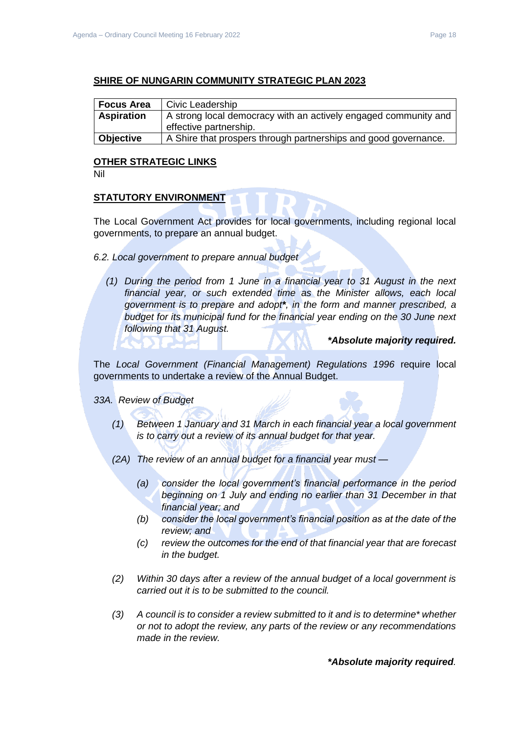#### **SHIRE OF NUNGARIN COMMUNITY STRATEGIC PLAN 2023**

| <b>Focus Area</b> | Civic Leadership                                                                          |
|-------------------|-------------------------------------------------------------------------------------------|
| <b>Aspiration</b> | A strong local democracy with an actively engaged community and<br>effective partnership. |
| Objective         | A Shire that prospers through partnerships and good governance.                           |

#### **OTHER STRATEGIC LINKS**

Nil

#### **STATUTORY ENVIRONMENT**

The Local Government Act provides for local governments, including regional local governments, to prepare an annual budget.

- *6.2. Local government to prepare annual budget*
	- *(1) During the period from 1 June in a financial year to 31 August in the next financial year, or such extended time as the Minister allows, each local government is to prepare and adopt\*, in the form and manner prescribed, a budget for its municipal fund for the financial year ending on the 30 June next following that 31 August.*

*\*Absolute majority required.* 

The *Local Government (Financial Management) Regulations 1996* require local governments to undertake a review of the Annual Budget.

- *33A. Review of Budget*
	- *(1) Between 1 January and 31 March in each financial year a local government is to carry out a review of its annual budget for that year.*
	- *(2A) The review of an annual budget for a financial year must —*
		- *(a) consider the local government's financial performance in the period beginning on 1 July and ending no earlier than 31 December in that financial year; and*
		- *(b) consider the local government's financial position as at the date of the review; and*
		- *(c) review the outcomes for the end of that financial year that are forecast in the budget.*
	- *(2) Within 30 days after a review of the annual budget of a local government is carried out it is to be submitted to the council.*
	- *(3) A council is to consider a review submitted to it and is to determine\* whether or not to adopt the review, any parts of the review or any recommendations made in the review.*

*\*Absolute majority required.*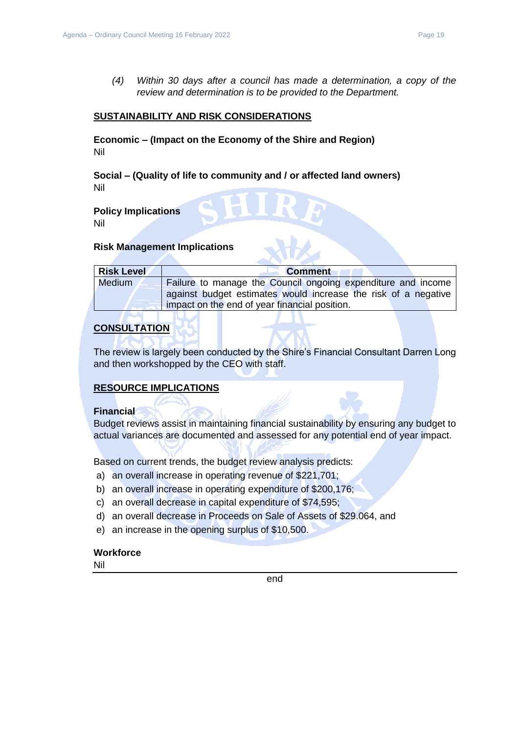*(4) Within 30 days after a council has made a determination, a copy of the review and determination is to be provided to the Department.*

#### **SUSTAINABILITY AND RISK CONSIDERATIONS**

**Economic – (Impact on the Economy of the Shire and Region)** Nil

**Social – (Quality of life to community and / or affected land owners)** Nil

**Policy Implications**

Nil

#### **Risk Management Implications**

| <b>Risk Level</b> | <b>Comment</b>                                                 |
|-------------------|----------------------------------------------------------------|
| Medium            | Failure to manage the Council ongoing expenditure and income   |
|                   | against budget estimates would increase the risk of a negative |
|                   | impact on the end of year financial position.                  |

# **CONSULTATION**

The review is largely been conducted by the Shire's Financial Consultant Darren Long and then workshopped by the CEO with staff.

#### **RESOURCE IMPLICATIONS**

#### **Financial**

Budget reviews assist in maintaining financial sustainability by ensuring any budget to actual variances are documented and assessed for any potential end of year impact.

Based on current trends, the budget review analysis predicts:

- a) an overall increase in operating revenue of \$221,701;
- b) an overall increase in operating expenditure of \$200,176;
- c) an overall decrease in capital expenditure of \$74,595;
- d) an overall decrease in Proceeds on Sale of Assets of \$29.064, and
- e) an increase in the opening surplus of \$10,500.

#### **Workforce**

Nil

end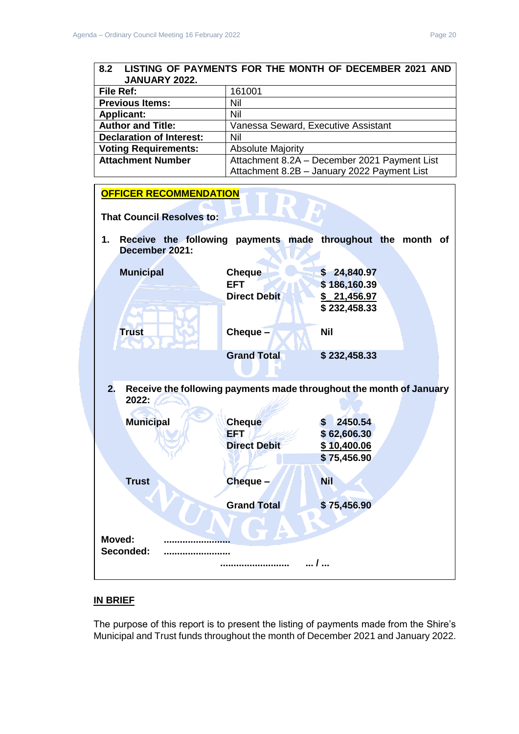# <span id="page-19-0"></span>**8.2 LISTING OF PAYMENTS FOR THE MONTH OF DECEMBER 2021 AND JANUARY 2022.**

| File Ref:                       | 161001                                       |
|---------------------------------|----------------------------------------------|
| <b>Previous Items:</b>          | Nil                                          |
| <b>Applicant:</b>               | Nil                                          |
| <b>Author and Title:</b>        | Vanessa Seward, Executive Assistant          |
| <b>Declaration of Interest:</b> | Nil                                          |
| <b>Voting Requirements:</b>     | <b>Absolute Majority</b>                     |
| <b>Attachment Number</b>        | Attachment 8.2A - December 2021 Payment List |
|                                 | Attachment 8.2B - January 2022 Payment List  |



# **IN BRIEF**

The purpose of this report is to present the listing of payments made from the Shire's Municipal and Trust funds throughout the month of December 2021 and January 2022.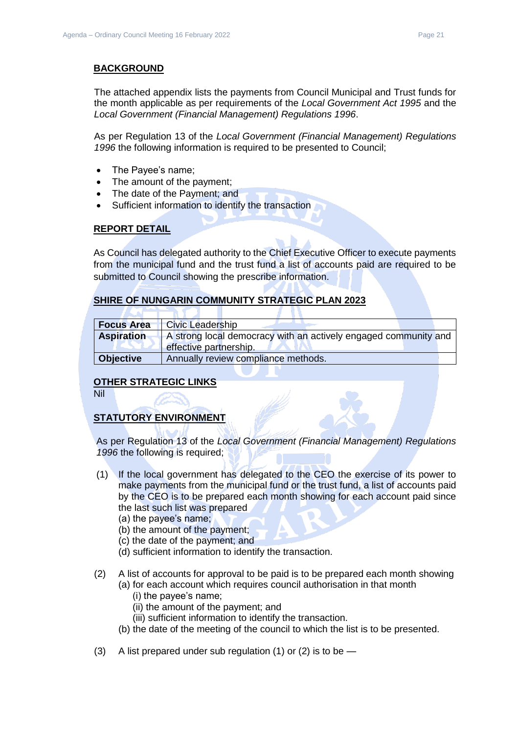#### **BACKGROUND**

The attached appendix lists the payments from Council Municipal and Trust funds for the month applicable as per requirements of the *Local Government Act 1995* and the *Local Government (Financial Management) Regulations 1996*.

As per Regulation 13 of the *Local Government (Financial Management) Regulations 1996* the following information is required to be presented to Council;

- The Payee's name;
- The amount of the payment;
- The date of the Payment; and
- Sufficient information to identify the transaction

#### **REPORT DETAIL**

As Council has delegated authority to the Chief Executive Officer to execute payments from the municipal fund and the trust fund a list of accounts paid are required to be submitted to Council showing the prescribe information.

#### **SHIRE OF NUNGARIN COMMUNITY STRATEGIC PLAN 2023**

| <b>Focus Area</b> | <b>Civic Leadership</b>                                                                   |
|-------------------|-------------------------------------------------------------------------------------------|
| <b>Aspiration</b> | A strong local democracy with an actively engaged community and<br>effective partnership. |
| <b>Objective</b>  | Annually review compliance methods.                                                       |

# **OTHER STRATEGIC LINKS**

Nil

# **STATUTORY ENVIRONMENT**

As per Regulation 13 of the *Local Government (Financial Management) Regulations 1996* the following is required;

- (1) If the local government has delegated to the CEO the exercise of its power to make payments from the municipal fund or the trust fund, a list of accounts paid by the CEO is to be prepared each month showing for each account paid since the last such list was prepared
	- (a) the payee's name;
	- (b) the amount of the payment;
	- (c) the date of the payment; and
	- (d) sufficient information to identify the transaction.
- (2) A list of accounts for approval to be paid is to be prepared each month showing
	- (a) for each account which requires council authorisation in that month
		- (i) the payee's name;
		- (ii) the amount of the payment; and
		- (iii) sufficient information to identify the transaction.
	- (b) the date of the meeting of the council to which the list is to be presented.
- (3) A list prepared under sub regulation (1) or (2) is to be  $-$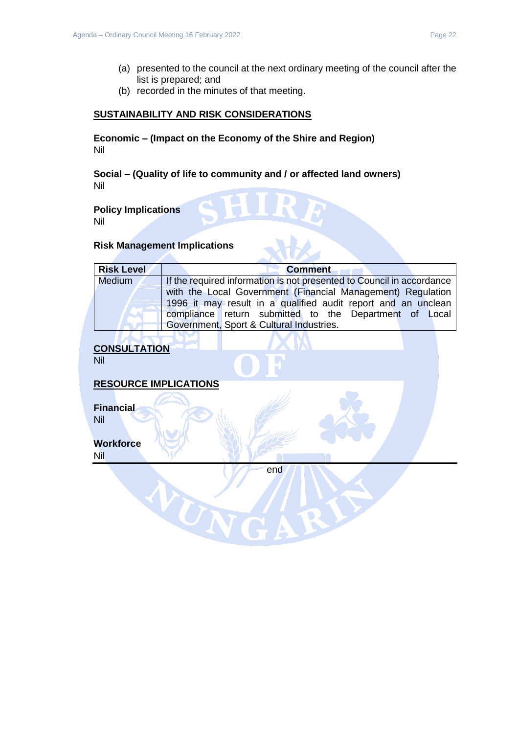- (a) presented to the council at the next ordinary meeting of the council after the list is prepared; and
- (b) recorded in the minutes of that meeting.

### **SUSTAINABILITY AND RISK CONSIDERATIONS**

**Economic – (Impact on the Economy of the Shire and Region)** Nil

**Social – (Quality of life to community and / or affected land owners)** Nil

# **Policy Implications**

Nil

# **Risk Management Implications**

| <b>Risk Level</b> | <b>Comment</b>                                                        |
|-------------------|-----------------------------------------------------------------------|
| Medium            | If the required information is not presented to Council in accordance |
|                   | with the Local Government (Financial Management) Regulation           |
|                   | 1996 it may result in a qualified audit report and an unclean         |
|                   | compliance return submitted to the Department of Local                |
|                   | Government, Sport & Cultural Industries.                              |
|                   |                                                                       |

# **CONSULTATION**

Nil

# **RESOURCE IMPLICATIONS**

WUN

**Financial** Nil

# **Workforce**

Nil

end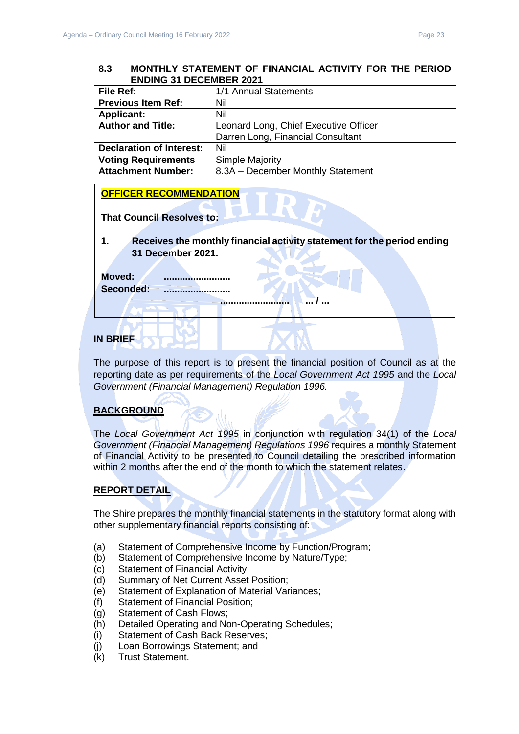## <span id="page-22-0"></span>**8.3 MONTHLY STATEMENT OF FINANCIAL ACTIVITY FOR THE PERIOD ENDING 31 DECEMBER 2021**

| File Ref:                       | 1/1 Annual Statements                 |  |
|---------------------------------|---------------------------------------|--|
| <b>Previous Item Ref:</b>       | Nil                                   |  |
| <b>Applicant:</b>               | Nil                                   |  |
| <b>Author and Title:</b>        | Leonard Long, Chief Executive Officer |  |
|                                 | Darren Long, Financial Consultant     |  |
| <b>Declaration of Interest:</b> | Nil                                   |  |
| <b>Voting Requirements</b>      | Simple Majority                       |  |
| <b>Attachment Number:</b>       | 8.3A - December Monthly Statement     |  |

# **OFFICER RECOMMENDATION**

**That Council Resolves to:** 

**1. Receives the monthly financial activity statement for the period ending 31 December 2021.**

**.......................... ... / ...** 

**Moved: ......................... Seconded: .........................**

# **IN BRIEF**

The purpose of this report is to present the financial position of Council as at the reporting date as per requirements of the *Local Government Act 1995* and the *Local Government (Financial Management) Regulation 1996.*

# **BACKGROUND**

The *Local Government Act 1995* in conjunction with regulation 34(1) of the *Local Government (Financial Management) Regulations 1996* requires a monthly Statement of Financial Activity to be presented to Council detailing the prescribed information within 2 months after the end of the month to which the statement relates.

# **REPORT DETAIL**

The Shire prepares the monthly financial statements in the statutory format along with other supplementary financial reports consisting of:

- (a) Statement of Comprehensive Income by Function/Program;
- (b) Statement of Comprehensive Income by Nature/Type;
- (c) Statement of Financial Activity;
- (d) Summary of Net Current Asset Position;
- (e) Statement of Explanation of Material Variances;
- (f) Statement of Financial Position;
- (g) Statement of Cash Flows;
- (h) Detailed Operating and Non-Operating Schedules;
- (i) Statement of Cash Back Reserves;
- (j) Loan Borrowings Statement; and
- (k) Trust Statement.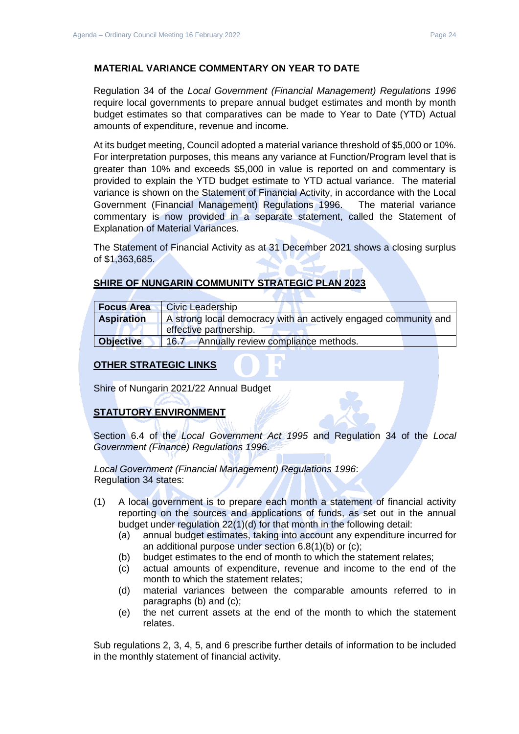# **MATERIAL VARIANCE COMMENTARY ON YEAR TO DATE**

Regulation 34 of the *Local Government (Financial Management) Regulations 1996*  require local governments to prepare annual budget estimates and month by month budget estimates so that comparatives can be made to Year to Date (YTD) Actual amounts of expenditure, revenue and income.

At its budget meeting, Council adopted a material variance threshold of \$5,000 or 10%. For interpretation purposes, this means any variance at Function/Program level that is greater than 10% and exceeds \$5,000 in value is reported on and commentary is provided to explain the YTD budget estimate to YTD actual variance. The material variance is shown on the Statement of Financial Activity, in accordance with the Local Government (Financial Management) Regulations 1996. The material variance commentary is now provided in a separate statement, called the Statement of Explanation of Material Variances.

The Statement of Financial Activity as at 31 December 2021 shows a closing surplus of \$1,363,685.

# **SHIRE OF NUNGARIN COMMUNITY STRATEGIC PLAN 2023**

| <b>Focus Area</b> | <b>Civic Leadership</b>                                         |  |
|-------------------|-----------------------------------------------------------------|--|
| <b>Aspiration</b> | A strong local democracy with an actively engaged community and |  |
|                   | effective partnership.                                          |  |
| <b>Objective</b>  | Annually review compliance methods.<br>16.7                     |  |

# **OTHER STRATEGIC LINKS**

Shire of Nungarin 2021/22 Annual Budget

# **STATUTORY ENVIRONMENT**

Section 6.4 of the *Local Government Act 1995* and Regulation 34 of the *Local Government (Finance) Regulations 1996*.

*Local Government (Financial Management) Regulations 1996*: Regulation 34 states:

- (1) A local government is to prepare each month a statement of financial activity reporting on the sources and applications of funds, as set out in the annual budget under regulation 22(1)(d) for that month in the following detail:
	- (a) annual budget estimates, taking into account any expenditure incurred for an additional purpose under section 6.8(1)(b) or (c);
	- (b) budget estimates to the end of month to which the statement relates;
	- (c) actual amounts of expenditure, revenue and income to the end of the month to which the statement relates;
	- (d) material variances between the comparable amounts referred to in paragraphs (b) and (c);
	- (e) the net current assets at the end of the month to which the statement relates.

Sub regulations 2, 3, 4, 5, and 6 prescribe further details of information to be included in the monthly statement of financial activity.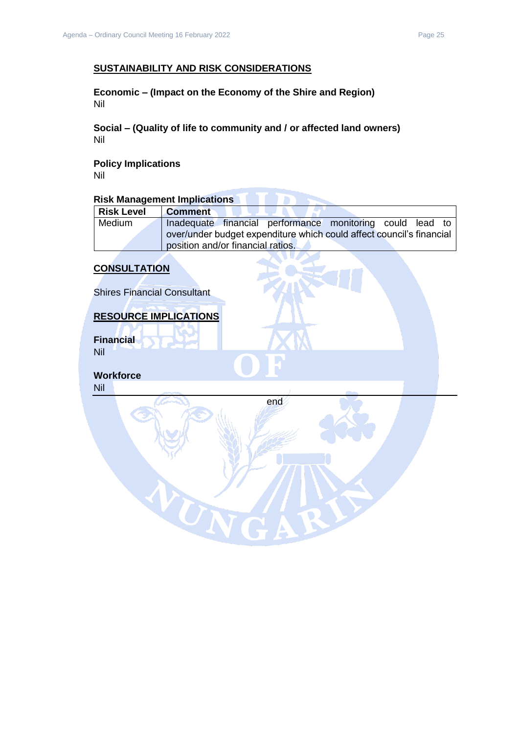## **SUSTAINABILITY AND RISK CONSIDERATIONS**

**Economic – (Impact on the Economy of the Shire and Region)** Nil

**Social – (Quality of life to community and / or affected land owners)** Nil

**Policy Implications** Nil

# **Risk Management Implications**

| <b>Risk Level</b> | <b>Comment</b>                                                       |
|-------------------|----------------------------------------------------------------------|
| Medium            | Inadequate financial performance monitoring could lead to            |
|                   | over/under budget expenditure which could affect council's financial |
|                   | position and/or financial ratios.                                    |

#### **CONSULTATION**

Shires Financial Consultant

#### **RESOURCE IMPLICATIONS**

UN

**Financial** Nil

**Workforce** Nil

end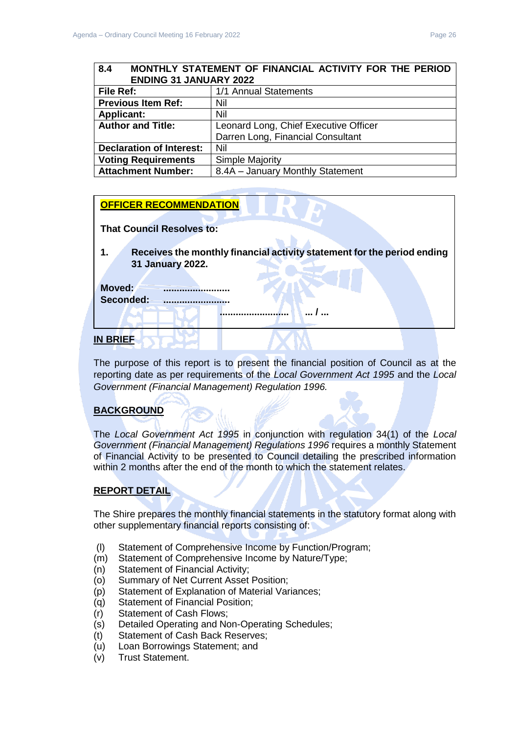# <span id="page-25-0"></span>**8.4 MONTHLY STATEMENT OF FINANCIAL ACTIVITY FOR THE PERIOD ENDING 31 JANUARY 2022 File Ref:** 1/1 Annual Statements

| .                               |                                       |
|---------------------------------|---------------------------------------|
| <b>Previous Item Ref:</b>       | Nil                                   |
| <b>Applicant:</b>               | Nil                                   |
| <b>Author and Title:</b>        | Leonard Long, Chief Executive Officer |
|                                 | Darren Long, Financial Consultant     |
| <b>Declaration of Interest:</b> | Nil                                   |
| <b>Voting Requirements</b>      | <b>Simple Majority</b>                |
| <b>Attachment Number:</b>       | 8.4A - January Monthly Statement      |

# **OFFICER RECOMMENDATION**

**That Council Resolves to:** 

**1. Receives the monthly financial activity statement for the period ending 31 January 2022.**

**.......................... ... / ...** 

**Moved: ......................... Seconded: .........................**

#### **IN BRIEF**

The purpose of this report is to present the financial position of Council as at the reporting date as per requirements of the *Local Government Act 1995* and the *Local Government (Financial Management) Regulation 1996.*

# **BACKGROUND**

The *Local Government Act 1995* in conjunction with regulation 34(1) of the *Local Government (Financial Management) Regulations 1996* requires a monthly Statement of Financial Activity to be presented to Council detailing the prescribed information within 2 months after the end of the month to which the statement relates.

# **REPORT DETAIL**

The Shire prepares the monthly financial statements in the statutory format along with other supplementary financial reports consisting of:

- (l) Statement of Comprehensive Income by Function/Program;
- (m) Statement of Comprehensive Income by Nature/Type;
- (n) Statement of Financial Activity;
- (o) Summary of Net Current Asset Position;
- (p) Statement of Explanation of Material Variances;
- (q) Statement of Financial Position;
- (r) Statement of Cash Flows;
- (s) Detailed Operating and Non-Operating Schedules;
- (t) Statement of Cash Back Reserves;
- (u) Loan Borrowings Statement; and
- (v) Trust Statement.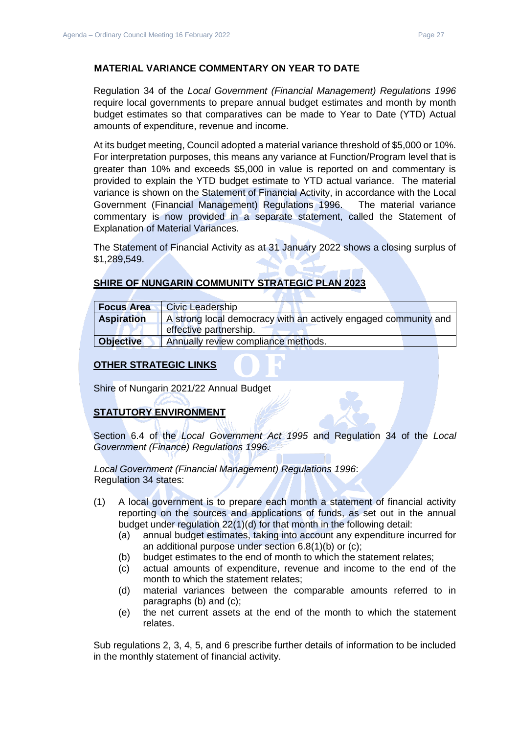#### **MATERIAL VARIANCE COMMENTARY ON YEAR TO DATE**

Regulation 34 of the *Local Government (Financial Management) Regulations 1996*  require local governments to prepare annual budget estimates and month by month budget estimates so that comparatives can be made to Year to Date (YTD) Actual amounts of expenditure, revenue and income.

At its budget meeting, Council adopted a material variance threshold of \$5,000 or 10%. For interpretation purposes, this means any variance at Function/Program level that is greater than 10% and exceeds \$5,000 in value is reported on and commentary is provided to explain the YTD budget estimate to YTD actual variance. The material variance is shown on the Statement of Financial Activity, in accordance with the Local Government (Financial Management) Regulations 1996. The material variance commentary is now provided in a separate statement, called the Statement of Explanation of Material Variances.

The Statement of Financial Activity as at 31 January 2022 shows a closing surplus of \$1,289,549.

# **SHIRE OF NUNGARIN COMMUNITY STRATEGIC PLAN 2023**

| <b>Focus Area</b> | Civic Leadership                                                |  |
|-------------------|-----------------------------------------------------------------|--|
| <b>Aspiration</b> | A strong local democracy with an actively engaged community and |  |
|                   | effective partnership.                                          |  |
| <b>Objective</b>  | Annually review compliance methods.                             |  |

#### **OTHER STRATEGIC LINKS**

Shire of Nungarin 2021/22 Annual Budget

# **STATUTORY ENVIRONMENT**

Section 6.4 of the *Local Government Act 1995* and Regulation 34 of the *Local Government (Finance) Regulations 1996*.

*Local Government (Financial Management) Regulations 1996*: Regulation 34 states:

- (1) A local government is to prepare each month a statement of financial activity reporting on the sources and applications of funds, as set out in the annual budget under regulation 22(1)(d) for that month in the following detail:
	- (a) annual budget estimates, taking into account any expenditure incurred for an additional purpose under section 6.8(1)(b) or (c);
	- (b) budget estimates to the end of month to which the statement relates;
	- (c) actual amounts of expenditure, revenue and income to the end of the month to which the statement relates;
	- (d) material variances between the comparable amounts referred to in paragraphs (b) and (c);
	- (e) the net current assets at the end of the month to which the statement relates.

Sub regulations 2, 3, 4, 5, and 6 prescribe further details of information to be included in the monthly statement of financial activity.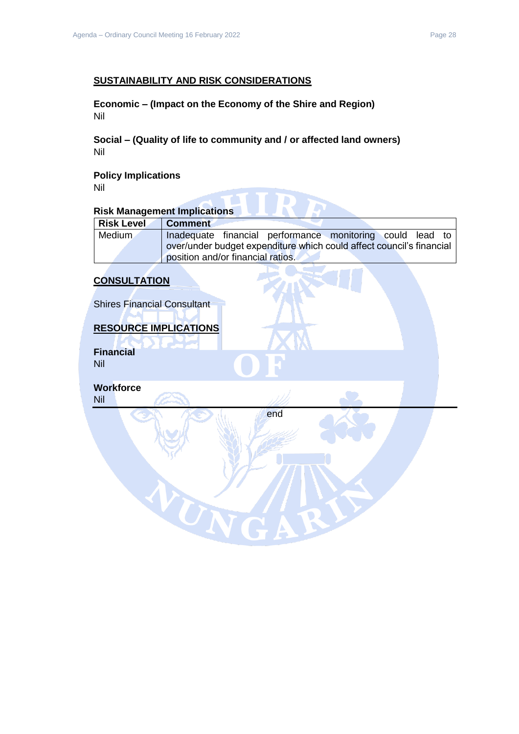# **SUSTAINABILITY AND RISK CONSIDERATIONS**

**Economic – (Impact on the Economy of the Shire and Region)** Nil

**Social – (Quality of life to community and / or affected land owners)** Nil

# **Policy Implications**

Nil

#### **Risk Management Implications**

| l Risk Level. | <b>Comment</b>                                                       |
|---------------|----------------------------------------------------------------------|
| Medium        | Inadequate financial performance monitoring could lead to            |
|               | over/under budget expenditure which could affect council's financial |
|               | position and/or financial ratios.                                    |

# **CONSULTATION**

Shires Financial Consultant

# **RESOURCE IMPLICATIONS**

WN

**Financial** Nil

**Workforce** Nil

end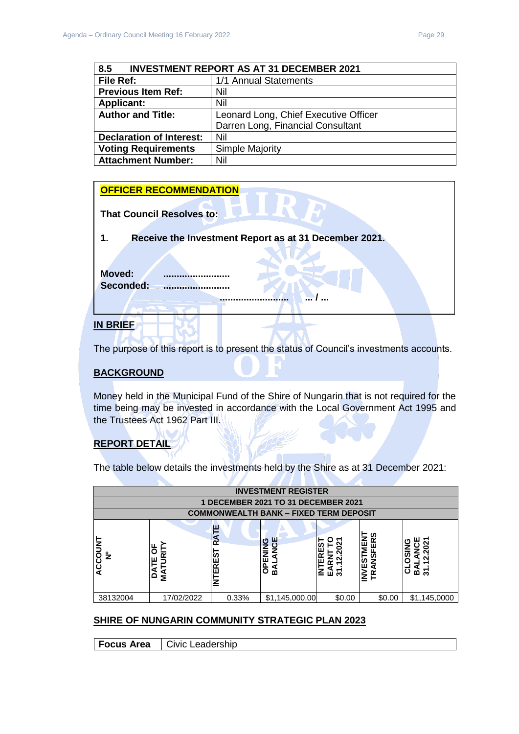<span id="page-28-0"></span>

| <b>INVESTMENT REPORT AS AT 31 DECEMBER 2021</b><br>8.5 |                                       |  |  |  |
|--------------------------------------------------------|---------------------------------------|--|--|--|
| <b>File Ref:</b>                                       | 1/1 Annual Statements                 |  |  |  |
| <b>Previous Item Ref:</b>                              | Nil                                   |  |  |  |
| <b>Applicant:</b><br>Nil                               |                                       |  |  |  |
| <b>Author and Title:</b>                               | Leonard Long, Chief Executive Officer |  |  |  |
|                                                        | Darren Long, Financial Consultant     |  |  |  |
| <b>Declaration of Interest:</b><br>Nil                 |                                       |  |  |  |
| <b>Voting Requirements</b>                             | Simple Majority                       |  |  |  |
| <b>Attachment Number:</b>                              | Nil                                   |  |  |  |

# **OFFICER RECOMMENDATION**

| <b>That Council Resolves to:</b>                            |
|-------------------------------------------------------------|
| Receive the Investment Report as at 31 December 2021.<br>1. |
| Moved:<br>Seconded:                                         |
| <b>BRIEF</b>                                                |

The purpose of this report is to present the status of Council's investments accounts.

## **BACKGROUND**

Money held in the Municipal Fund of the Shire of Nungarin that is not required for the time being may be invested in accordance with the Local Government Act 1995 and the Trustees Act 1962 Part III.

# **REPORT DETAIL**

The table below details the investments held by the Shire as at 31 December 2021:

| <b>INVESTMENT REGISTER</b>          |                                           |                                        |                                               |                                                                                       |                                        |                     |
|-------------------------------------|-------------------------------------------|----------------------------------------|-----------------------------------------------|---------------------------------------------------------------------------------------|----------------------------------------|---------------------|
| 1 DECEMBER 2021 TO 31 DECEMBER 2021 |                                           |                                        |                                               |                                                                                       |                                        |                     |
|                                     |                                           |                                        | <b>COMMONWEALTH BANK - FIXED TERM DEPOSIT</b> |                                                                                       |                                        |                     |
| <b>ACCOUNT</b><br>$\tilde{z}$       | щ<br>듮<br>Ō<br>۳<br>コ<br>⊢<br>⋖<br>≨<br>ہ | a<br>$\alpha$<br>n<br>ш<br>≃<br>ш<br>≧ | ANCE<br>ပ<br>ENIK<br>$\overline{6}$<br>ВÁ     | O<br>്ട<br>ERES<br>ส<br><b>ARN'</b><br>Ñ<br>ᡪ<br>$\overline{\mathsf{z}}$<br>స్<br>шì. | <b>INVESTMENT</b><br>FERS<br>ANSI<br>Æ | 021<br>ິ<br>స్<br>m |
| 38132004                            | 17/02/2022                                | 0.33%                                  | \$1,145,000.00                                | \$0.00                                                                                | \$0.00                                 | \$1,145,0000        |

# **SHIRE OF NUNGARIN COMMUNITY STRATEGIC PLAN 2023**

**Focus Area** | Civic Leadership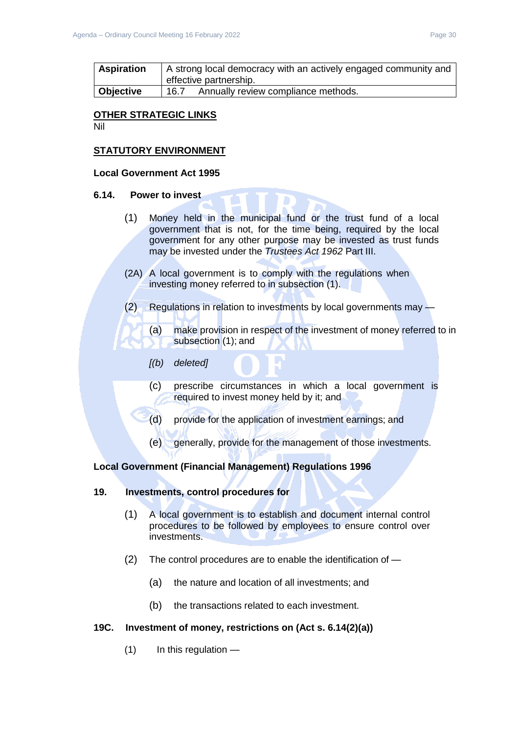| <b>Aspiration</b> | A strong local democracy with an actively engaged community and<br>effective partnership. |
|-------------------|-------------------------------------------------------------------------------------------|
| <b>Objective</b>  | Annually review compliance methods.<br>16.7                                               |

# **OTHER STRATEGIC LINKS**

Nil

# **STATUTORY ENVIRONMENT**

#### **Local Government Act 1995**

#### **6.14. Power to invest**

- (1) Money held in the municipal fund or the trust fund of a local government that is not, for the time being, required by the local government for any other purpose may be invested as trust funds may be invested under the *Trustees Act 1962* Part III.
- (2A) A local government is to comply with the regulations when investing money referred to in subsection (1).
- (2) Regulations in relation to investments by local governments may
	- (a) make provision in respect of the investment of money referred to in subsection (1); and
	- *[(b) deleted]*
	- (c) prescribe circumstances in which a local government is required to invest money held by it; and
	- (d) provide for the application of investment earnings; and
	- (e) generally, provide for the management of those investments.

#### **Local Government (Financial Management) Regulations 1996**

#### **19. Investments, control procedures for**

- (1) A local government is to establish and document internal control procedures to be followed by employees to ensure control over investments.
- (2) The control procedures are to enable the identification of
	- (a) the nature and location of all investments; and
	- (b) the transactions related to each investment.

#### **19C. Investment of money, restrictions on (Act s. 6.14(2)(a))**

 $(1)$  In this regulation —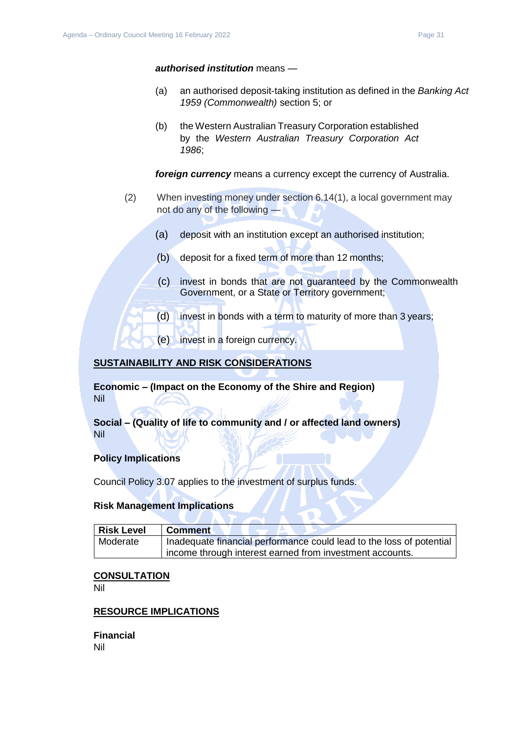#### *authorised institution* means —

- (a) an authorised deposit-taking institution as defined in the *Banking Act 1959 (Commonwealth)* section 5; or
- (b) the Western Australian Treasury Corporation established by the *Western Australian Treasury Corporation Act 1986*;

*foreign currency* means a currency except the currency of Australia.

- (2) When investing money under section 6.14(1), a local government may not do any of the following —
	- (a) deposit with an institution except an authorised institution;
	- (b) deposit for a fixed term of more than 12 months;
	- (c) invest in bonds that are not guaranteed by the Commonwealth Government, or a State or Territory government;
	- (d) invest in bonds with a term to maturity of more than 3 years;
	- (e) invest in a foreign currency.

# **SUSTAINABILITY AND RISK CONSIDERATIONS**

**Economic – (Impact on the Economy of the Shire and Region)** Nil

**Social – (Quality of life to community and / or affected land owners)** Nil

#### **Policy Implications**

Council Policy 3.07 applies to the investment of surplus funds.

#### **Risk Management Implications**

| <b>Risk Level</b> | <b>Comment</b>                                                       |
|-------------------|----------------------------------------------------------------------|
| Moderate          | Inadequate financial performance could lead to the loss of potential |
|                   | income through interest earned from investment accounts.             |

#### **CONSULTATION**

Nil

#### **RESOURCE IMPLICATIONS**

**Financial** Nil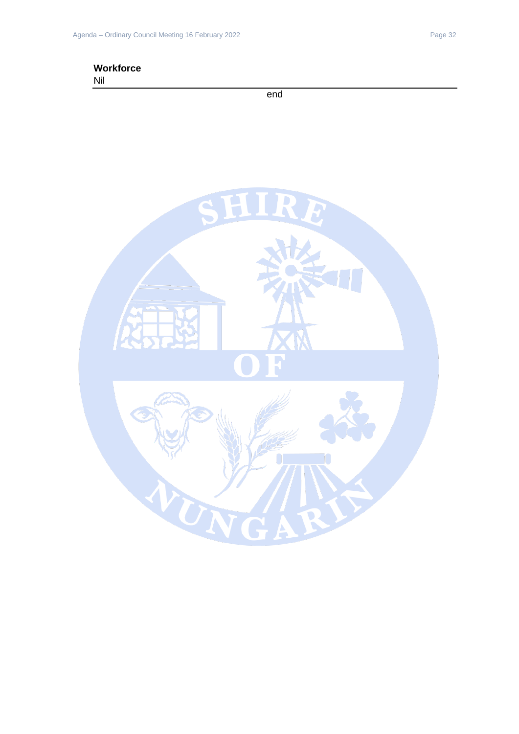

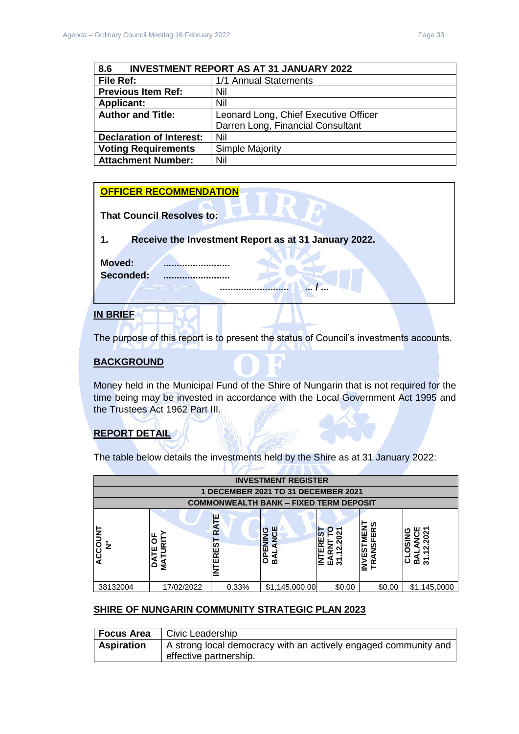<span id="page-32-0"></span>

| <b>INVESTMENT REPORT AS AT 31 JANUARY 2022</b><br>8.6 |                                       |  |  |
|-------------------------------------------------------|---------------------------------------|--|--|
| <b>File Ref:</b>                                      | 1/1 Annual Statements                 |  |  |
| <b>Previous Item Ref:</b>                             | Nil                                   |  |  |
| <b>Applicant:</b>                                     | Nil                                   |  |  |
| <b>Author and Title:</b>                              | Leonard Long, Chief Executive Officer |  |  |
|                                                       | Darren Long, Financial Consultant     |  |  |
| <b>Declaration of Interest:</b><br>Nil                |                                       |  |  |
| <b>Voting Requirements</b><br>Simple Majority         |                                       |  |  |
| <b>Attachment Number:</b>                             | Nil                                   |  |  |

#### **OFFICER RECOMMENDATION**

| <b>That Council Resolves to:</b>                     |
|------------------------------------------------------|
| Receive the Investment Report as at 31 January 2022. |
| <b>Moved:</b><br>Seconded:                           |

#### **IN BRIEF**

The purpose of this report is to present the status of Council's investments accounts.

#### **BACKGROUND**

Money held in the Municipal Fund of the Shire of Nungarin that is not required for the time being may be invested in accordance with the Local Government Act 1995 and the Trustees Act 1962 Part III.

# **REPORT DETAIL**

The table below details the investments held by the Shire as at 31 January 2022:

| <b>INVESTMENT REGISTER</b>          |                                            |                                         |                                               |                                                                                                                    |                                             |                                                            |  |
|-------------------------------------|--------------------------------------------|-----------------------------------------|-----------------------------------------------|--------------------------------------------------------------------------------------------------------------------|---------------------------------------------|------------------------------------------------------------|--|
| 1 DECEMBER 2021 TO 31 DECEMBER 2021 |                                            |                                         |                                               |                                                                                                                    |                                             |                                                            |  |
|                                     |                                            |                                         | <b>COMMONWEALTH BANK - FIXED TERM DEPOSIT</b> |                                                                                                                    |                                             |                                                            |  |
| <b>ACCOUNT</b><br>$\frac{6}{2}$     | ட<br>⊢<br>⊽ّ<br>ш<br>っ<br>┕<br>a<br>≨<br>≏ | ш<br>2<br>R<br><b>S</b><br>۳Ë<br>ш<br>Ξ | ANCE<br>OPENING<br>⋖<br>m                     | O<br>EST<br>Ñ<br>0<br>ิส<br>Ξ<br><b>TER</b><br>$\mathbf{z}$<br>$\overline{\mathbf{g}}$<br>$\mathbf{z}$<br>స్<br>шì | <b>INVESTMENT</b><br>S<br>EER<br>ANSI<br>TR | <u>ទ្រ</u><br>ন<br>g<br>៤<br>ទី<br>$\sim$<br>ں<br>స్<br>മ് |  |
| 38132004                            | 17/02/2022                                 | 0.33%                                   | \$1,145,000.00                                | \$0.00                                                                                                             | \$0.00                                      | \$1,145,0000                                               |  |

# **SHIRE OF NUNGARIN COMMUNITY STRATEGIC PLAN 2023**

| <b>Focus Area</b> | Civic Leadership                                                |
|-------------------|-----------------------------------------------------------------|
| <b>Aspiration</b> | A strong local democracy with an actively engaged community and |
|                   | effective partnership.                                          |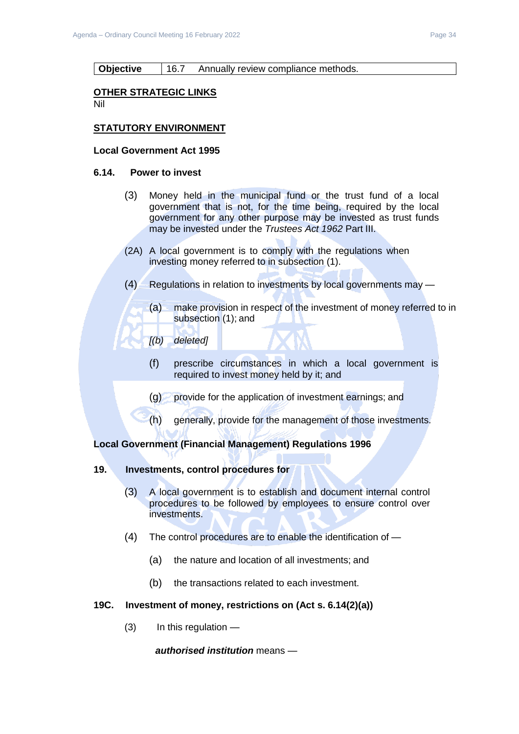#### **Objective** 16.7 Annually review compliance methods.

#### **OTHER STRATEGIC LINKS**

Nil

## **STATUTORY ENVIRONMENT**

#### **Local Government Act 1995**

#### **6.14. Power to invest**

- (3) Money held in the municipal fund or the trust fund of a local government that is not, for the time being, required by the local government for any other purpose may be invested as trust funds may be invested under the *Trustees Act 1962* Part III.
- (2A) A local government is to comply with the regulations when investing money referred to in subsection (1).
- (4) Regulations in relation to investments by local governments may
	- (a) make provision in respect of the investment of money referred to in subsection (1); and
	- *[(b) deleted]*
		- (f) prescribe circumstances in which a local government is required to invest money held by it; and
		- (g) provide for the application of investment earnings; and
		- (h) generally, provide for the management of those investments.

#### **Local Government (Financial Management) Regulations 1996**

# **19. Investments, control procedures for**

- (3) A local government is to establish and document internal control procedures to be followed by employees to ensure control over investments.
- (4) The control procedures are to enable the identification of
	- (a) the nature and location of all investments; and
	- (b) the transactions related to each investment.

#### **19C. Investment of money, restrictions on (Act s. 6.14(2)(a))**

(3) In this regulation —

*authorised institution* means —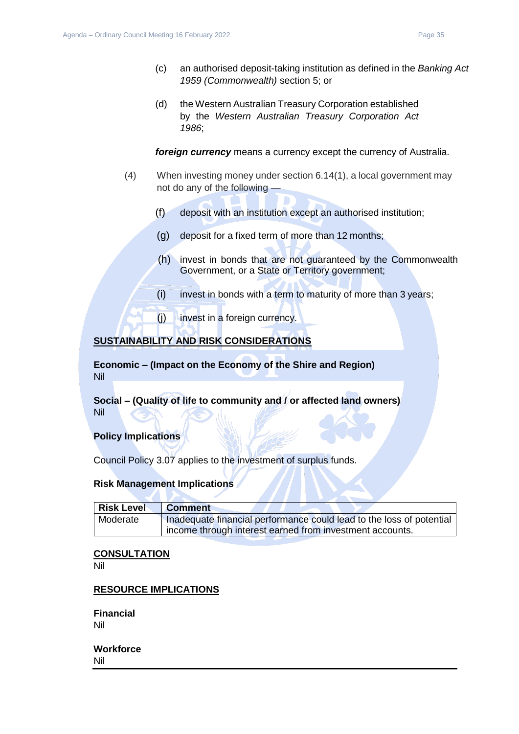- (c) an authorised deposit-taking institution as defined in the *Banking Act 1959 (Commonwealth)* section 5; or
- (d) the Western Australian Treasury Corporation established by the *Western Australian Treasury Corporation Act 1986*;

*foreign currency* means a currency except the currency of Australia.

- (4) When investing money under section 6.14(1), a local government may not do any of the following —
	- (f) deposit with an institution except an authorised institution;
	- (g) deposit for a fixed term of more than 12 months;
	- (h) invest in bonds that are not guaranteed by the Commonwealth Government, or a State or Territory government;
	- (i) invest in bonds with a term to maturity of more than 3 years;
	- (j) invest in a foreign currency.

# **SUSTAINABILITY AND RISK CONSIDERATIONS**

**Economic – (Impact on the Economy of the Shire and Region)** Nil

**Social – (Quality of life to community and / or affected land owners)** Nil

#### **Policy Implications**

Council Policy 3.07 applies to the investment of surplus funds.

#### **Risk Management Implications**

| <b>Risk Level</b> | <b>Comment</b>                                                       |
|-------------------|----------------------------------------------------------------------|
| Moderate          | Inadequate financial performance could lead to the loss of potential |
|                   | income through interest earned from investment accounts.             |

#### **CONSULTATION**

Nil

#### **RESOURCE IMPLICATIONS**

**Financial** Nil

**Workforce** Nil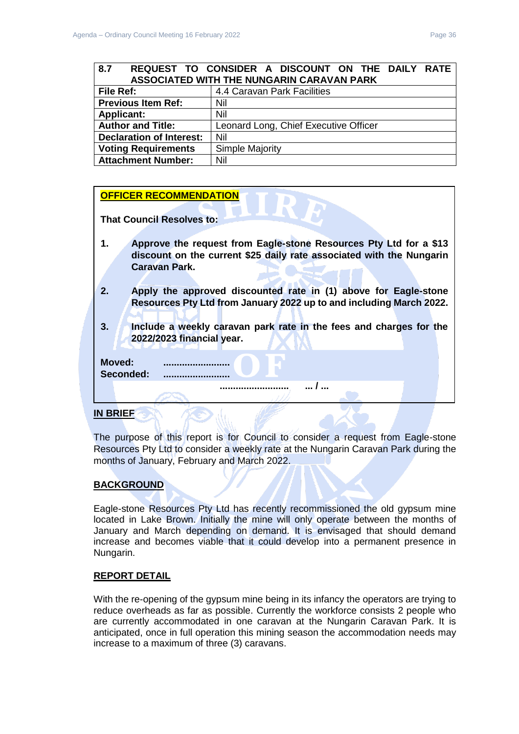<span id="page-35-0"></span>

| 8.7                                       | REQUEST TO CONSIDER A DISCOUNT ON THE DAILY RATE |  |
|-------------------------------------------|--------------------------------------------------|--|
| ASSOCIATED WITH THE NUNGARIN CARAVAN PARK |                                                  |  |
| File Ref:                                 | 4.4 Caravan Park Facilities                      |  |
| <b>Previous Item Ref:</b>                 | <b>Nil</b>                                       |  |
| <b>Applicant:</b>                         | Nil                                              |  |
| <b>Author and Title:</b>                  | Leonard Long, Chief Executive Officer            |  |
| <b>Declaration of Interest:</b>           | Nil                                              |  |
| <b>Voting Requirements</b>                | <b>Simple Majority</b>                           |  |
| <b>Attachment Number:</b>                 | Nil                                              |  |

| <b>OFFICER RECOMMENDATION</b><br><b>That Council Resolves to:</b>                                                                                                |
|------------------------------------------------------------------------------------------------------------------------------------------------------------------|
| Approve the request from Eagle-stone Resources Pty Ltd for a \$13<br>1.<br>discount on the current \$25 daily rate associated with the Nungarin<br>Caravan Park. |
| Apply the approved discounted rate in (1) above for Eagle-stone<br>2.<br>Resources Pty Ltd from January 2022 up to and including March 2022.                     |
| 3.<br>Include a weekly caravan park rate in the fees and charges for the<br>2022/2023 financial year.                                                            |
| Moved:<br>Seconded:                                                                                                                                              |
|                                                                                                                                                                  |
| <b>BRIEF</b>                                                                                                                                                     |

The purpose of this report is for Council to consider a request from Eagle-stone Resources Pty Ltd to consider a weekly rate at the Nungarin Caravan Park during the months of January, February and March 2022.

# **BACKGROUND**

Eagle-stone Resources Pty Ltd has recently recommissioned the old gypsum mine located in Lake Brown. Initially the mine will only operate between the months of January and March depending on demand. It is envisaged that should demand increase and becomes viable that it could develop into a permanent presence in Nungarin.

# **REPORT DETAIL**

With the re-opening of the gypsum mine being in its infancy the operators are trying to reduce overheads as far as possible. Currently the workforce consists 2 people who are currently accommodated in one caravan at the Nungarin Caravan Park. It is anticipated, once in full operation this mining season the accommodation needs may increase to a maximum of three (3) caravans.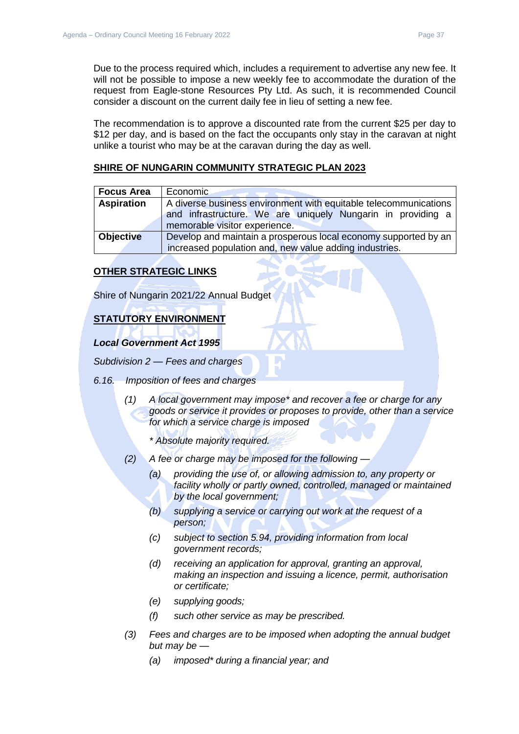Due to the process required which, includes a requirement to advertise any new fee. It will not be possible to impose a new weekly fee to accommodate the duration of the request from Eagle-stone Resources Pty Ltd. As such, it is recommended Council consider a discount on the current daily fee in lieu of setting a new fee.

The recommendation is to approve a discounted rate from the current \$25 per day to \$12 per day, and is based on the fact the occupants only stay in the caravan at night unlike a tourist who may be at the caravan during the day as well.

#### **SHIRE OF NUNGARIN COMMUNITY STRATEGIC PLAN 2023**

| <b>Focus Area</b> | Economic                                                         |  |
|-------------------|------------------------------------------------------------------|--|
| <b>Aspiration</b> | A diverse business environment with equitable telecommunications |  |
|                   | and infrastructure. We are uniquely Nungarin in providing a      |  |
|                   | memorable visitor experience.                                    |  |
| Objective         | Develop and maintain a prosperous local economy supported by an  |  |
|                   | increased population and, new value adding industries.           |  |

## **OTHER STRATEGIC LINKS**

Shire of Nungarin 2021/22 Annual Budget

# **STATUTORY ENVIRONMENT**

#### *Local Government Act 1995*

*Subdivision 2 — Fees and charges*

- *6.16. Imposition of fees and charges*
	- *(1) A local government may impose\* and recover a fee or charge for any goods or service it provides or proposes to provide, other than a service for which a service charge is imposed*
		- *\* Absolute majority required.*
	- *(2) A fee or charge may be imposed for the following —*
		- *(a) providing the use of, or allowing admission to, any property or facility wholly or partly owned, controlled, managed or maintained by the local government;*
		- *(b) supplying a service or carrying out work at the request of a person;*
		- *(c) subject to section 5.94, providing information from local government records;*
		- *(d) receiving an application for approval, granting an approval, making an inspection and issuing a licence, permit, authorisation or certificate;*
		- *(e) supplying goods;*
		- *(f) such other service as may be prescribed.*
	- *(3) Fees and charges are to be imposed when adopting the annual budget but may be —*
		- *(a) imposed\* during a financial year; and*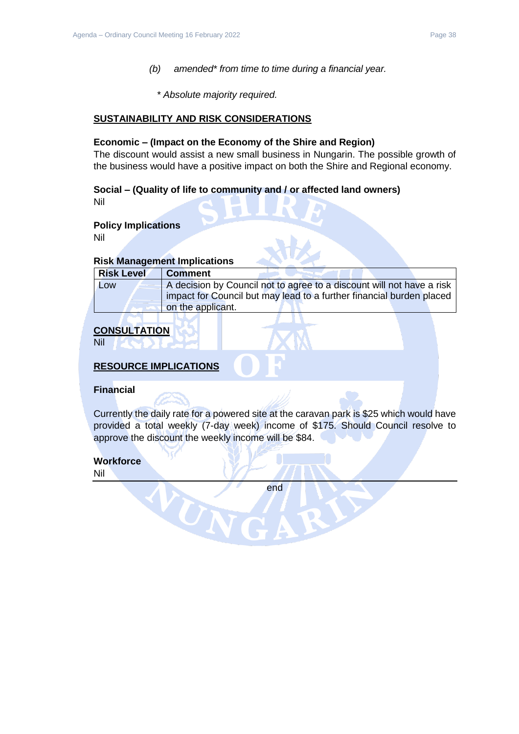- *(b) amended\* from time to time during a financial year.*
	- *\* Absolute majority required.*

#### **SUSTAINABILITY AND RISK CONSIDERATIONS**

#### **Economic – (Impact on the Economy of the Shire and Region)**

The discount would assist a new small business in Nungarin. The possible growth of the business would have a positive impact on both the Shire and Regional economy.

#### **Social – (Quality of life to community and / or affected land owners)**

Nil

#### **Policy Implications**

Nil

#### **Risk Management Implications**

| <b>Risk Level</b> | <b>Comment</b>                                                        |
|-------------------|-----------------------------------------------------------------------|
| <b>LOW</b>        | A decision by Council not to agree to a discount will not have a risk |
|                   | impact for Council but may lead to a further financial burden placed  |
|                   | on the applicant.                                                     |

# **CONSULTATION**

Nil

#### **RESOURCE IMPLICATIONS**

UT

#### **Financial**

Currently the daily rate for a powered site at the caravan park is \$25 which would have provided a total weekly (7-day week) income of \$175. Should Council resolve to approve the discount the weekly income will be \$84.

#### **Workforce**

Nil

end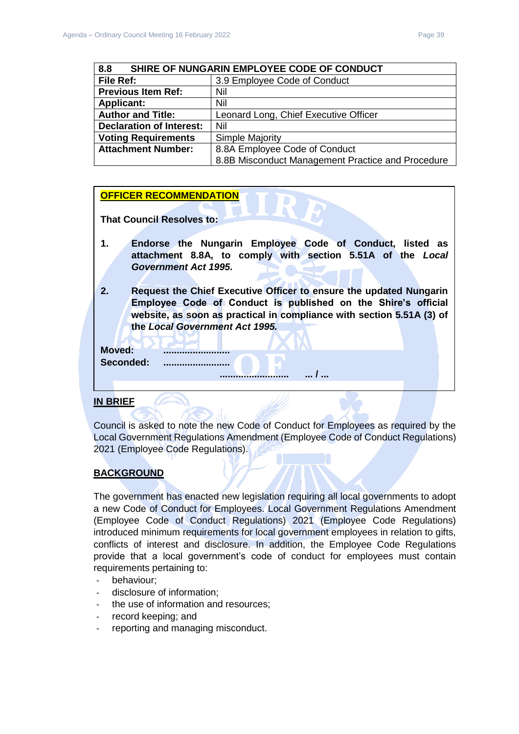<span id="page-38-0"></span>

| SHIRE OF NUNGARIN EMPLOYEE CODE OF CONDUCT<br>8.8 |                                                   |
|---------------------------------------------------|---------------------------------------------------|
| <b>File Ref:</b>                                  | 3.9 Employee Code of Conduct                      |
| <b>Previous Item Ref:</b>                         | Nil                                               |
| <b>Applicant:</b>                                 | Nil                                               |
| <b>Author and Title:</b>                          | Leonard Long, Chief Executive Officer             |
| <b>Declaration of Interest:</b>                   | Nil                                               |
| <b>Voting Requirements</b>                        | <b>Simple Majority</b>                            |
| <b>Attachment Number:</b>                         | 8.8A Employee Code of Conduct                     |
|                                                   | 8.8B Misconduct Management Practice and Procedure |

#### **OFFICER RECOMMENDATION**

**That Council Resolves to:** 

- **1. Endorse the Nungarin Employee Code of Conduct, listed as attachment 8.8A, to comply with section 5.51A of the** *Local Government Act 1995***.**
- **2. Request the Chief Executive Officer to ensure the updated Nungarin Employee Code of Conduct is published on the Shire's official website, as soon as practical in compliance with section 5.51A (3) of the** *Local Government Act 1995.*

**.......................... ... / ...** 

**Moved: ......................... Seconded: .........................**

# **IN BRIEF**

Council is asked to note the new Code of Conduct for Employees as required by the Local Government Regulations Amendment (Employee Code of Conduct Regulations) 2021 (Employee Code Regulations).

#### **BACKGROUND**

The government has enacted new legislation requiring all local governments to adopt a new Code of Conduct for Employees. Local Government Regulations Amendment (Employee Code of Conduct Regulations) 2021 (Employee Code Regulations) introduced minimum requirements for local government employees in relation to gifts, conflicts of interest and disclosure. In addition, the Employee Code Regulations provide that a local government's code of conduct for employees must contain requirements pertaining to:

- behaviour;
- disclosure of information;
- the use of information and resources;
- record keeping; and
- reporting and managing misconduct.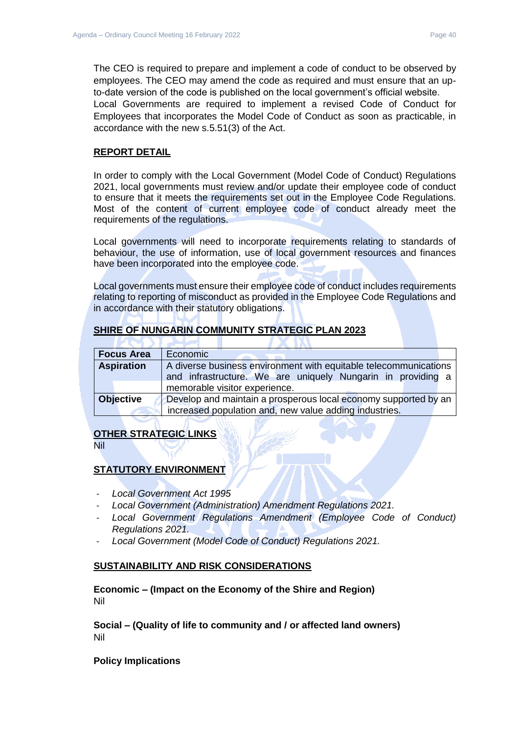The CEO is required to prepare and implement a code of conduct to be observed by employees. The CEO may amend the code as required and must ensure that an upto-date version of the code is published on the local government's official website. Local Governments are required to implement a revised Code of Conduct for Employees that incorporates the Model Code of Conduct as soon as practicable, in accordance with the new s.5.51(3) of the Act.

#### **REPORT DETAIL**

In order to comply with the Local Government (Model Code of Conduct) Regulations 2021, local governments must review and/or update their employee code of conduct to ensure that it meets the requirements set out in the Employee Code Regulations. Most of the content of current employee code of conduct already meet the requirements of the regulations.

Local governments will need to incorporate requirements relating to standards of behaviour, the use of information, use of local government resources and finances have been incorporated into the employee code.

Local governments must ensure their employee code of conduct includes requirements relating to reporting of misconduct as provided in the Employee Code Regulations and in accordance with their statutory obligations.

# **SHIRE OF NUNGARIN COMMUNITY STRATEGIC PLAN 2023**

| <b>Focus Area</b> | Economic                                                         |  |  |
|-------------------|------------------------------------------------------------------|--|--|
| <b>Aspiration</b> | A diverse business environment with equitable telecommunications |  |  |
|                   | and infrastructure. We are uniquely Nungarin in providing a      |  |  |
|                   | memorable visitor experience.                                    |  |  |
| <b>Objective</b>  | Develop and maintain a prosperous local economy supported by an  |  |  |
|                   | increased population and, new value adding industries.           |  |  |

#### **OTHER STRATEGIC LINKS**

Nil

# **STATUTORY ENVIRONMENT**

- *Local Government Act 1995*
- *Local Government (Administration) Amendment Regulations 2021.*
- Local Government Regulations Amendment (Employee Code of Conduct) *Regulations 2021.*
- *Local Government (Model Code of Conduct) Regulations 2021.*

#### **SUSTAINABILITY AND RISK CONSIDERATIONS**

**Economic – (Impact on the Economy of the Shire and Region)** Nil

**Social – (Quality of life to community and / or affected land owners)** Nil

#### **Policy Implications**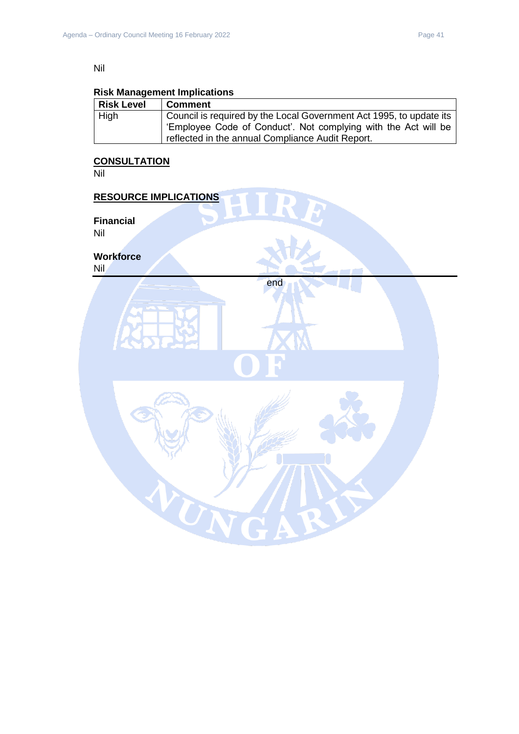# Nil

# **Risk Management Implications**

| <b>Risk Level</b> | <b>Comment</b>                                                      |
|-------------------|---------------------------------------------------------------------|
| High              | Council is required by the Local Government Act 1995, to update its |
|                   | 'Employee Code of Conduct'. Not complying with the Act will be      |
|                   | reflected in the annual Compliance Audit Report.                    |

#### **CONSULTATION**

Nil

# **RESOURCE IMPLICATIONS Financial** Nil **Workforce** Nil endUN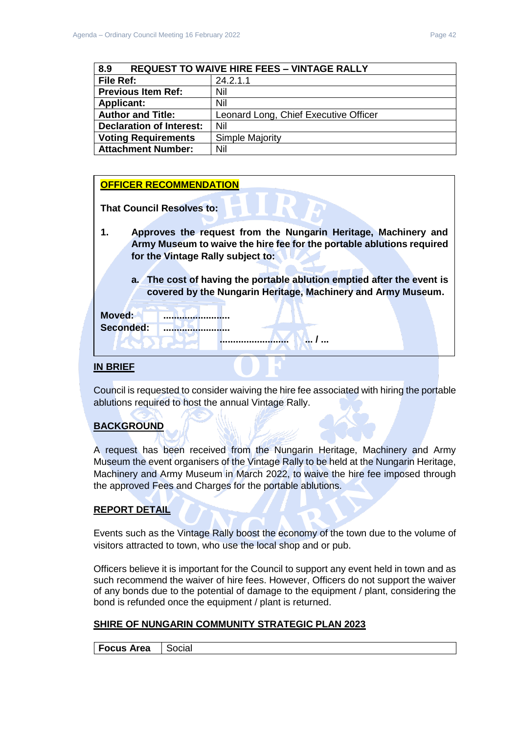<span id="page-41-0"></span>

| 8.9<br><b>REQUEST TO WAIVE HIRE FEES - VINTAGE RALLY</b> |                                       |
|----------------------------------------------------------|---------------------------------------|
| File Ref:                                                | 24.2.1.1                              |
| <b>Previous Item Ref:</b>                                | Nil                                   |
| <b>Applicant:</b>                                        | Nil                                   |
| <b>Author and Title:</b>                                 | Leonard Long, Chief Executive Officer |
| <b>Declaration of Interest:</b>                          | Nil                                   |
| <b>Voting Requirements</b>                               | <b>Simple Majority</b>                |
| <b>Attachment Number:</b>                                | Nil                                   |

#### **OFFICER RECOMMENDATION**

**That Council Resolves to:** 

- **1. Approves the request from the Nungarin Heritage, Machinery and Army Museum to waive the hire fee for the portable ablutions required for the Vintage Rally subject to:**
	- **a. The cost of having the portable ablution emptied after the event is covered by the Nungarin Heritage, Machinery and Army Museum.**

| Moved:    |                                    |
|-----------|------------------------------------|
| Seconded: |                                    |
|           | <br>,,,,,,,,,,,,,,,,,,,,,,,,,,<br> |

#### **IN BRIEF**

Council is requested to consider waiving the hire fee associated with hiring the portable ablutions required to host the annual Vintage Rally.

# **BACKGROUND**

A request has been received from the Nungarin Heritage, Machinery and Army Museum the event organisers of the Vintage Rally to be held at the Nungarin Heritage, Machinery and Army Museum in March 2022, to waive the hire fee imposed through the approved Fees and Charges for the portable ablutions.

# **REPORT DETAIL**

Events such as the Vintage Rally boost the economy of the town due to the volume of visitors attracted to town, who use the local shop and or pub.

Officers believe it is important for the Council to support any event held in town and as such recommend the waiver of hire fees. However, Officers do not support the waiver of any bonds due to the potential of damage to the equipment / plant, considering the bond is refunded once the equipment / plant is returned.

# **SHIRE OF NUNGARIN COMMUNITY STRATEGIC PLAN 2023**

**Focus Area** Social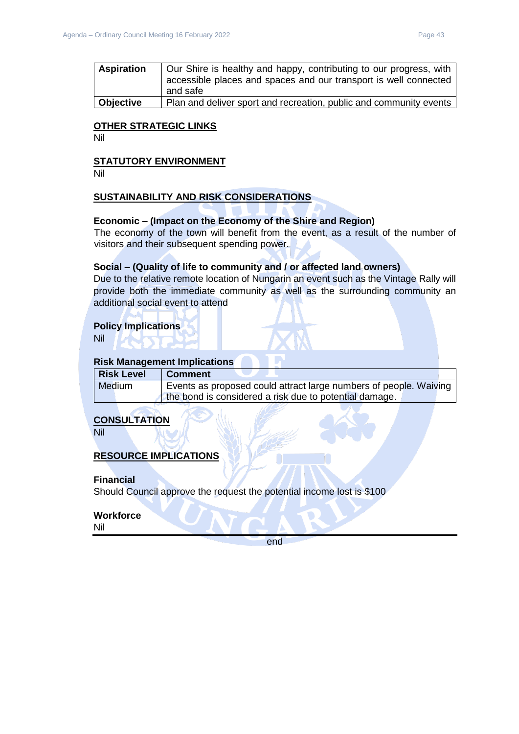| <b>Aspiration</b> | Our Shire is healthy and happy, contributing to our progress, with<br>accessible places and spaces and our transport is well connected<br>and safe |
|-------------------|----------------------------------------------------------------------------------------------------------------------------------------------------|
| <b>Objective</b>  | Plan and deliver sport and recreation, public and community events                                                                                 |

#### **OTHER STRATEGIC LINKS**

Nil

#### **STATUTORY ENVIRONMENT**

Nil

# **SUSTAINABILITY AND RISK CONSIDERATIONS**

#### **Economic – (Impact on the Economy of the Shire and Region)**

The economy of the town will benefit from the event, as a result of the number of visitors and their subsequent spending power.

#### **Social – (Quality of life to community and / or affected land owners)**

Due to the relative remote location of Nungarin an event such as the Vintage Rally will provide both the immediate community as well as the surrounding community an additional social event to attend

#### **Policy Implications**

Nil

# **Risk Management Implications**

| <b>Risk Level</b> | <b>Comment</b>                                                    |  |
|-------------------|-------------------------------------------------------------------|--|
| Medium            | Events as proposed could attract large numbers of people. Waiving |  |
|                   | the bond is considered a risk due to potential damage.            |  |

# **CONSULTATION**

Nil

# **RESOURCE IMPLICATIONS**

#### **Financial**

Should Council approve the request the potential income lost is \$100

#### **Workforce**

Nil

end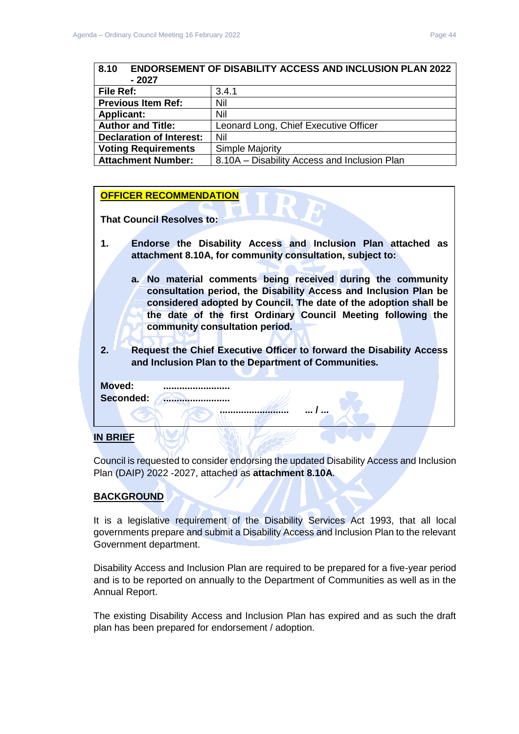<span id="page-43-0"></span>

| 8.10<br><b>ENDORSEMENT OF DISABILITY ACCESS AND INCLUSION PLAN 2022</b>   |                                       |  |
|---------------------------------------------------------------------------|---------------------------------------|--|
| $-2027$                                                                   |                                       |  |
| File Ref:                                                                 | 3.4.1                                 |  |
| <b>Previous Item Ref:</b>                                                 | Nil                                   |  |
| <b>Applicant:</b>                                                         | Nil                                   |  |
| <b>Author and Title:</b>                                                  | Leonard Long, Chief Executive Officer |  |
| <b>Declaration of Interest:</b>                                           | Nil                                   |  |
| <b>Voting Requirements</b>                                                | Simple Majority                       |  |
| <b>Attachment Number:</b><br>8.10A - Disability Access and Inclusion Plan |                                       |  |

# **OFFICER RECOMMENDATION**

**That Council Resolves to:** 

- **1. Endorse the Disability Access and Inclusion Plan attached as attachment 8.10A, for community consultation, subject to:**
	- **a. No material comments being received during the community consultation period, the Disability Access and Inclusion Plan be considered adopted by Council. The date of the adoption shall be the date of the first Ordinary Council Meeting following the community consultation period.**
- **2. Request the Chief Executive Officer to forward the Disability Access and Inclusion Plan to the Department of Communities.**

**.......................... ... / ...** 

**Moved: .........................** Seconded: **.......................** 

# **IN BRIEF**

Council is requested to consider endorsing the updated Disability Access and Inclusion Plan (DAIP) 2022 -2027, attached as **attachment 8.10A**.

# **BACKGROUND**

It is a legislative requirement of the Disability Services Act 1993, that all local governments prepare and submit a Disability Access and Inclusion Plan to the relevant Government department.

Disability Access and Inclusion Plan are required to be prepared for a five-year period and is to be reported on annually to the Department of Communities as well as in the Annual Report.

The existing Disability Access and Inclusion Plan has expired and as such the draft plan has been prepared for endorsement / adoption.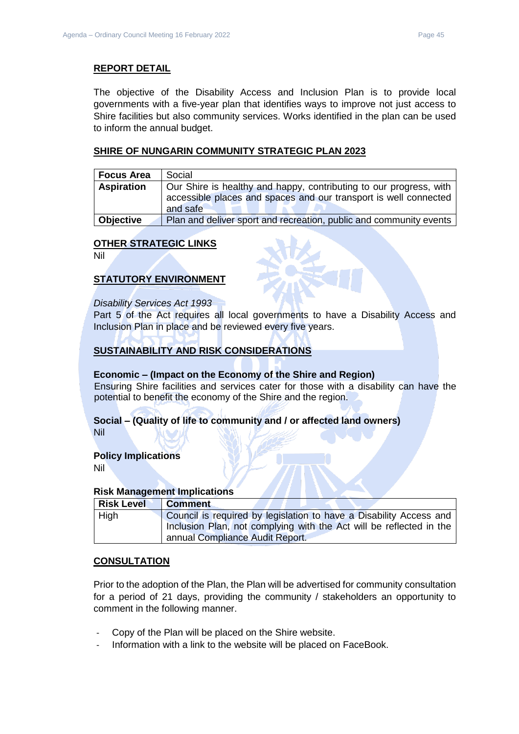#### **REPORT DETAIL**

The objective of the Disability Access and Inclusion Plan is to provide local governments with a five-year plan that identifies ways to improve not just access to Shire facilities but also community services. Works identified in the plan can be used to inform the annual budget.

#### **SHIRE OF NUNGARIN COMMUNITY STRATEGIC PLAN 2023**

| <b>Focus Area</b> | Social                                                             |  |
|-------------------|--------------------------------------------------------------------|--|
| <b>Aspiration</b> | Our Shire is healthy and happy, contributing to our progress, with |  |
|                   | accessible places and spaces and our transport is well connected   |  |
|                   | and safe                                                           |  |
| <b>Objective</b>  | Plan and deliver sport and recreation, public and community events |  |

#### **OTHER STRATEGIC LINKS**

Nil

# **STATUTORY ENVIRONMENT**

#### *Disability Services Act 1993*

Part 5 of the Act requires all local governments to have a Disability Access and Inclusion Plan in place and be reviewed every five years.

#### **SUSTAINABILITY AND RISK CONSIDERATIONS**

#### **Economic – (Impact on the Economy of the Shire and Region)**

Ensuring Shire facilities and services cater for those with a disability can have the potential to benefit the economy of the Shire and the region.

#### **Social – (Quality of life to community and / or affected land owners)** Nil

#### **Policy Implications**

Nil

### **Risk Management Implications**

| <b>Risk Level</b> | <b>Comment</b>                                                      |
|-------------------|---------------------------------------------------------------------|
| High              | Council is required by legislation to have a Disability Access and  |
|                   | Inclusion Plan, not complying with the Act will be reflected in the |
|                   | annual Compliance Audit Report.                                     |

#### **CONSULTATION**

Prior to the adoption of the Plan, the Plan will be advertised for community consultation for a period of 21 days, providing the community / stakeholders an opportunity to comment in the following manner.

- Copy of the Plan will be placed on the Shire website.
- Information with a link to the website will be placed on FaceBook.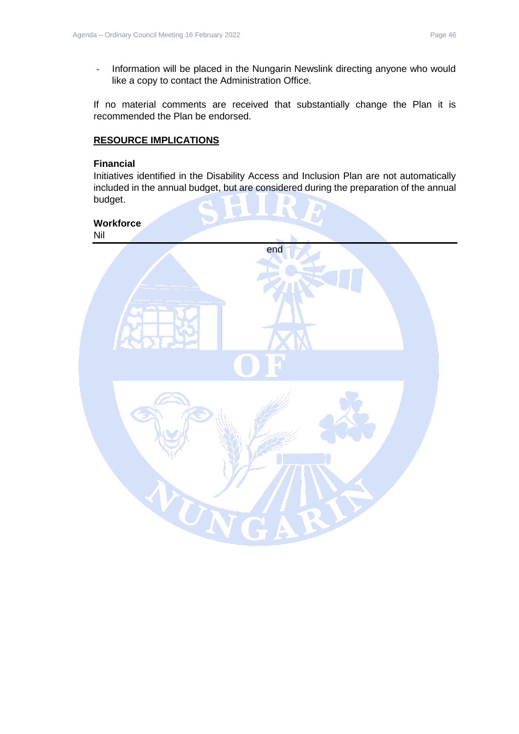- Information will be placed in the Nungarin Newslink directing anyone who would like a copy to contact the Administration Office.

If no material comments are received that substantially change the Plan it is recommended the Plan be endorsed.

#### **RESOURCE IMPLICATIONS**

#### **Financial**

Initiatives identified in the Disability Access and Inclusion Plan are not automatically included in the annual budget, but are considered during the preparation of the annual budget.

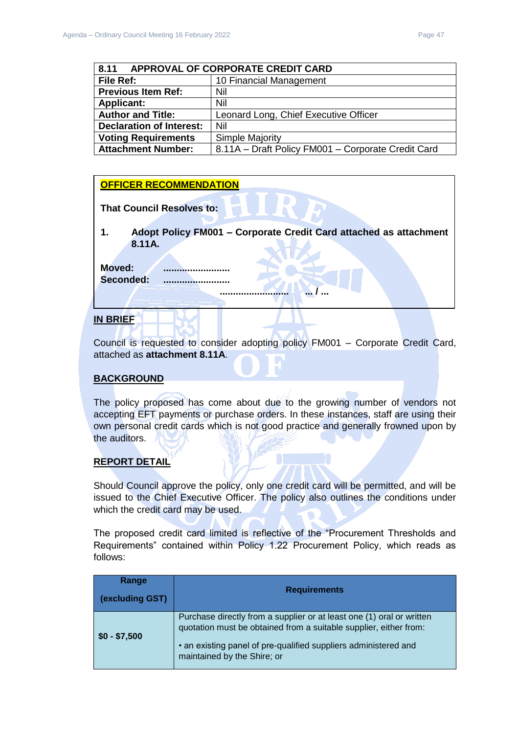<span id="page-46-0"></span>

| <b>APPROVAL OF CORPORATE CREDIT CARD</b><br>8.11 |                                                    |  |
|--------------------------------------------------|----------------------------------------------------|--|
| File Ref:<br>10 Financial Management             |                                                    |  |
| <b>Previous Item Ref:</b>                        | Nil                                                |  |
| <b>Applicant:</b>                                | Nil                                                |  |
| <b>Author and Title:</b>                         | Leonard Long, Chief Executive Officer              |  |
| <b>Declaration of Interest:</b>                  | Nil                                                |  |
| <b>Voting Requirements</b>                       | Simple Majority                                    |  |
| <b>Attachment Number:</b>                        | 8.11A - Draft Policy FM001 - Corporate Credit Card |  |

# **OFFICER RECOMMENDATION**

**That Council Resolves to:** 

**1. Adopt Policy FM001 – Corporate Credit Card attached as attachment 8.11A.**

**.......................... ... / ...** 

**Moved: ......................... Seconded: .........................**

#### **IN BRIEF**

Council is requested to consider adopting policy FM001 – Corporate Credit Card, attached as **attachment 8.11A**.

# **BACKGROUND**

The policy proposed has come about due to the growing number of vendors not accepting EFT payments or purchase orders. In these instances, staff are using their own personal credit cards which is not good practice and generally frowned upon by the auditors.

# **REPORT DETAIL**

Should Council approve the policy, only one credit card will be permitted, and will be issued to the Chief Executive Officer. The policy also outlines the conditions under which the credit card may be used.

The proposed credit card limited is reflective of the "Procurement Thresholds and Requirements" contained within Policy 1.22 Procurement Policy, which reads as follows:

| Range<br>(excluding GST) | <b>Requirements</b>                                                                                                                                                                                                                          |
|--------------------------|----------------------------------------------------------------------------------------------------------------------------------------------------------------------------------------------------------------------------------------------|
| $\vert$ \$0 - \$7,500    | Purchase directly from a supplier or at least one (1) oral or written<br>quotation must be obtained from a suitable supplier, either from:<br>• an existing panel of pre-qualified suppliers administered and<br>maintained by the Shire; or |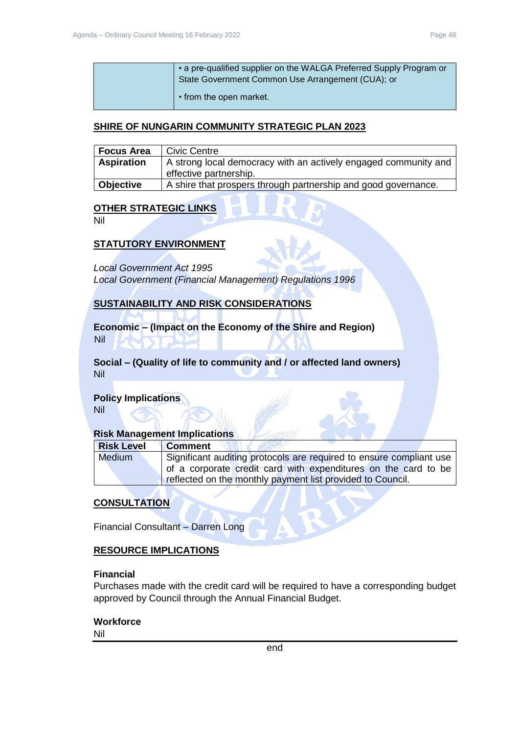| • a pre-qualified supplier on the WALGA Preferred Supply Program or<br>State Government Common Use Arrangement (CUA); or |
|--------------------------------------------------------------------------------------------------------------------------|
| • from the open market.                                                                                                  |

#### **SHIRE OF NUNGARIN COMMUNITY STRATEGIC PLAN 2023**

| Focus Area        | Civic Centre                                                    |  |
|-------------------|-----------------------------------------------------------------|--|
| <b>Aspiration</b> | A strong local democracy with an actively engaged community and |  |
|                   | effective partnership.                                          |  |
| Objective         | A shire that prospers through partnership and good governance.  |  |

# **OTHER STRATEGIC LINKS**

Nil

# **STATUTORY ENVIRONMENT**

*Local Government Act 1995*

*Local Government (Financial Management) Regulations 1996*

# **SUSTAINABILITY AND RISK CONSIDERATIONS**

**Economic – (Impact on the Economy of the Shire and Region)** Nil

**Social – (Quality of life to community and / or affected land owners)** Nil

#### **Policy Implications**

Nil

# **Risk Management Implications**

| <b>Risk Level</b> | <b>Comment</b>                                                      |
|-------------------|---------------------------------------------------------------------|
| Medium            | Significant auditing protocols are required to ensure compliant use |
|                   | of a corporate credit card with expenditures on the card to be      |
|                   | reflected on the monthly payment list provided to Council.          |

# **CONSULTATION**

Financial Consultant – Darren Long

# **RESOURCE IMPLICATIONS**

## **Financial**

Purchases made with the credit card will be required to have a corresponding budget approved by Council through the Annual Financial Budget.

#### **Workforce**

Nil